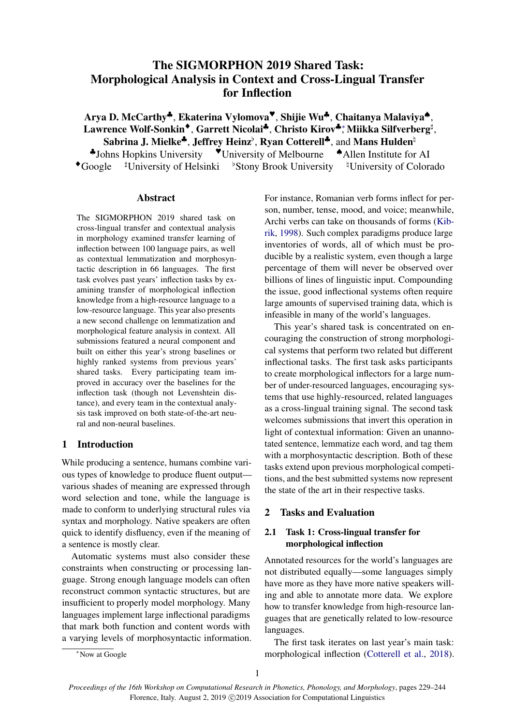# The SIGMORPHON 2019 Shared Task: Morphological Analysis in Context and Cross-Lingual Transfer for Inflection

Arya D. McCarthy♣, Ekaterina Vylomova♥, Shijie Wu♣, Chaitanya Malaviya♠, Lawrence Wolf-Sonkin<sup>◆</sup>, Garrett Nicolai<sup>♣</sup>, Christo Kirov<sup>♣</sup>; Miikka Silfverberg<sup>‡</sup>, Sabrina J. Mielke<sup>4</sup>, Jeffrey Heinz<sup>b</sup>, Ryan Cotterell<sup>4</sup>, and Mans Hulden<sup>h</sup> ♣Johns Hopkins University ♥University of Melbourne ♠Allen Institute for AI

 $\bullet$ Google  $\sharp$ University of Helsinki  $\sharp$ Stony Brook University  $\sharp$ University of Colorado

## Abstract

The SIGMORPHON 2019 shared task on cross-lingual transfer and contextual analysis in morphology examined transfer learning of inflection between 100 language pairs, as well as contextual lemmatization and morphosyntactic description in 66 languages. The first task evolves past years' inflection tasks by examining transfer of morphological inflection knowledge from a high-resource language to a low-resource language. This year also presents a new second challenge on lemmatization and morphological feature analysis in context. All submissions featured a neural component and built on either this year's strong baselines or highly ranked systems from previous years' shared tasks. Every participating team improved in accuracy over the baselines for the inflection task (though not Levenshtein distance), and every team in the contextual analysis task improved on both state-of-the-art neural and non-neural baselines.

# 1 Introduction

While producing a sentence, humans combine various types of knowledge to produce fluent output various shades of meaning are expressed through word selection and tone, while the language is made to conform to underlying structural rules via syntax and morphology. Native speakers are often quick to identify disfluency, even if the meaning of a sentence is mostly clear.

Automatic systems must also consider these constraints when constructing or processing language. Strong enough language models can often reconstruct common syntactic structures, but are insufficient to properly model morphology. Many languages implement large inflectional paradigms that mark both function and content words with a varying levels of morphosyntactic information. For instance, Romanian verb forms inflect for person, number, tense, mood, and voice; meanwhile, Archi verbs can take on thousands of forms [\(Kib](#page-13-0)[rik,](#page-13-0) [1998\)](#page-13-0). Such complex paradigms produce large inventories of words, all of which must be producible by a realistic system, even though a large percentage of them will never be observed over billions of lines of linguistic input. Compounding the issue, good inflectional systems often require large amounts of supervised training data, which is infeasible in many of the world's languages.

This year's shared task is concentrated on encouraging the construction of strong morphological systems that perform two related but different inflectional tasks. The first task asks participants to create morphological inflectors for a large number of under-resourced languages, encouraging systems that use highly-resourced, related languages as a cross-lingual training signal. The second task welcomes submissions that invert this operation in light of contextual information: Given an unannotated sentence, lemmatize each word, and tag them with a morphosyntactic description. Both of these tasks extend upon previous morphological competitions, and the best submitted systems now represent the state of the art in their respective tasks.

# 2 Tasks and Evaluation

# 2.1 Task 1: Cross-lingual transfer for morphological inflection

Annotated resources for the world's languages are not distributed equally—some languages simply have more as they have more native speakers willing and able to annotate more data. We explore how to transfer knowledge from high-resource languages that are genetically related to low-resource languages.

The first task iterates on last year's main task: morphological inflection [\(Cotterell et al.,](#page-12-0) [2018\)](#page-12-0).

<sup>∗</sup>Now at Google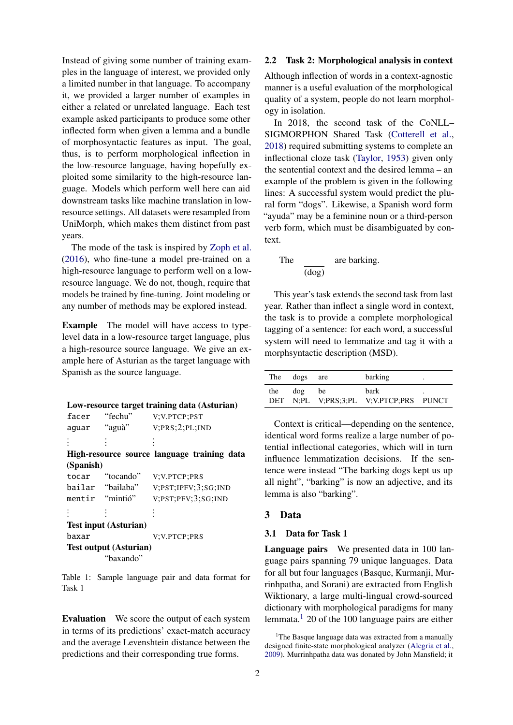Instead of giving some number of training examples in the language of interest, we provided only a limited number in that language. To accompany it, we provided a larger number of examples in either a related or unrelated language. Each test example asked participants to produce some other inflected form when given a lemma and a bundle of morphosyntactic features as input. The goal, thus, is to perform morphological inflection in the low-resource language, having hopefully exploited some similarity to the high-resource language. Models which perform well here can aid downstream tasks like machine translation in lowresource settings. All datasets were resampled from UniMorph, which makes them distinct from past years.

The mode of the task is inspired by [Zoph et al.](#page-15-0) [\(2016\)](#page-15-0), who fine-tune a model pre-trained on a high-resource language to perform well on a lowresource language. We do not, though, require that models be trained by fine-tuning. Joint modeling or any number of methods may be explored instead.

Example The model will have access to typelevel data in a low-resource target language, plus a high-resource source language. We give an example here of Asturian as the target language with Spanish as the source language.

<span id="page-1-1"></span>

| Low-resource target training data (Asturian) |  |  |  |  |
|----------------------------------------------|--|--|--|--|
|----------------------------------------------|--|--|--|--|

| facer     | "fechu"                       | V;V.PTCP;PST                                |
|-----------|-------------------------------|---------------------------------------------|
| aguar     | "aguà"                        | V; PRS;2; PL; IND                           |
|           |                               |                                             |
|           |                               | High-resource source language training data |
| (Spanish) |                               |                                             |
| tocar     | "tocando"                     | V;V.PTCP;PRS                                |
|           | bailar "bailaba"              | V;PST;IPFV;3;SG;IND                         |
|           | mentir "mintió"               | V;PST;PFV;3;SG;IND                          |
|           |                               |                                             |
|           | <b>Test input (Asturian)</b>  |                                             |
| baxar     |                               | V; V. PTCP; PRS                             |
|           | <b>Test output (Asturian)</b> |                                             |
|           | "baxando"                     |                                             |

Table 1: Sample language pair and data format for Task 1

Evaluation We score the output of each system in terms of its predictions' exact-match accuracy and the average Levenshtein distance between the predictions and their corresponding true forms.

# 2.2 Task 2: Morphological analysis in context

Although inflection of words in a context-agnostic manner is a useful evaluation of the morphological quality of a system, people do not learn morphology in isolation.

In 2018, the second task of the CoNLL– SIGMORPHON Shared Task [\(Cotterell et al.,](#page-12-0) [2018\)](#page-12-0) required submitting systems to complete an inflectional cloze task [\(Taylor,](#page-14-0) [1953\)](#page-14-0) given only the sentential context and the desired lemma – an example of the problem is given in the following lines: A successful system would predict the plural form "dogs". Likewise, a Spanish word form "ayuda" may be a feminine noun or a third-person verb form, which must be disambiguated by context.

The 
$$
\frac{1}{(\text{dog})}
$$
 are barking.

This year's task extends the second task from last year. Rather than inflect a single word in context, the task is to provide a complete morphological tagging of a sentence: for each word, a successful system will need to lemmatize and tag it with a morphsyntactic description (MSD).

|     | The dogs are |    | barking                                               | ٠ |
|-----|--------------|----|-------------------------------------------------------|---|
| the | $\log$       | be | <b>bark</b><br>DET N;PL V;PRS;3;PL V;V.PTCP;PRS PUNCT | ٠ |

Context is critical—depending on the sentence, identical word forms realize a large number of potential inflectional categories, which will in turn influence lemmatization decisions. If the sentence were instead "The barking dogs kept us up all night", "barking" is now an adjective, and its lemma is also "barking".

#### 3 Data

#### 3.1 Data for Task 1

Language pairs We presented data in 100 language pairs spanning 79 unique languages. Data for all but four languages (Basque, Kurmanji, Murrinhpatha, and Sorani) are extracted from English Wiktionary, a large multi-lingual crowd-sourced dictionary with morphological paradigms for many lemmata.[1](#page-1-0) 20 of the 100 language pairs are either

<span id="page-1-0"></span> $1$ The Basque language data was extracted from a manually designed finite-state morphological analyzer [\(Alegria et al.,](#page-12-1) [2009\)](#page-12-1). Murrinhpatha data was donated by John Mansfield; it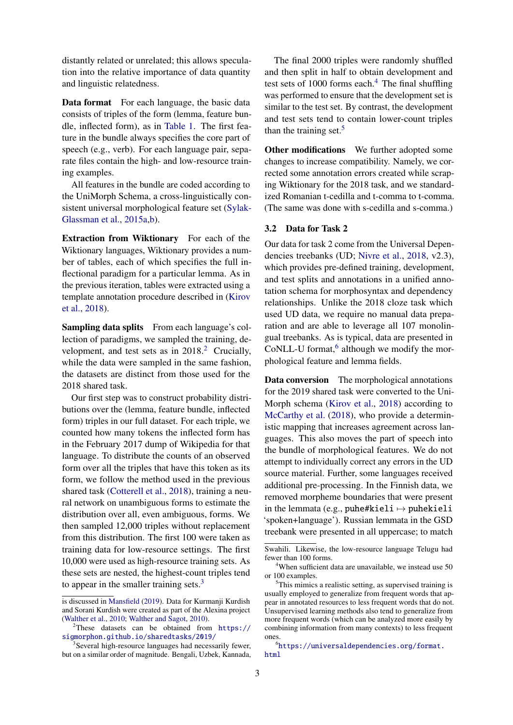distantly related or unrelated; this allows speculation into the relative importance of data quantity and linguistic relatedness.

Data format For each language, the basic data consists of triples of the form (lemma, feature bundle, inflected form), as in [Table 1.](#page-1-1) The first feature in the bundle always specifies the core part of speech (e.g., verb). For each language pair, separate files contain the high- and low-resource training examples.

All features in the bundle are coded according to the UniMorph Schema, a cross-linguistically consistent universal morphological feature set [\(Sylak-](#page-14-1)[Glassman et al.,](#page-14-1) [2015a,](#page-14-1)[b\)](#page-14-2).

Extraction from Wiktionary For each of the Wiktionary languages, Wiktionary provides a number of tables, each of which specifies the full inflectional paradigm for a particular lemma. As in the previous iteration, tables were extracted using a template annotation procedure described in [\(Kirov](#page-13-1) [et al.,](#page-13-1) [2018\)](#page-13-1).

Sampling data splits From each language's collection of paradigms, we sampled the training, de-velopment, and test sets as in [2](#page-2-0)018.<sup>2</sup> Crucially, while the data were sampled in the same fashion, the datasets are distinct from those used for the 2018 shared task.

Our first step was to construct probability distributions over the (lemma, feature bundle, inflected form) triples in our full dataset. For each triple, we counted how many tokens the inflected form has in the February 2017 dump of Wikipedia for that language. To distribute the counts of an observed form over all the triples that have this token as its form, we follow the method used in the previous shared task [\(Cotterell et al.,](#page-12-0) [2018\)](#page-12-0), training a neural network on unambiguous forms to estimate the distribution over all, even ambiguous, forms. We then sampled 12,000 triples without replacement from this distribution. The first 100 were taken as training data for low-resource settings. The first 10,000 were used as high-resource training sets. As these sets are nested, the highest-count triples tend to appear in the smaller training sets. $3$ 

The final 2000 triples were randomly shuffled and then split in half to obtain development and test sets of  $1000$  forms each.<sup>[4](#page-2-2)</sup> The final shuffling was performed to ensure that the development set is similar to the test set. By contrast, the development and test sets tend to contain lower-count triples than the training set.<sup>[5](#page-2-3)</sup>

Other modifications We further adopted some changes to increase compatibility. Namely, we corrected some annotation errors created while scraping Wiktionary for the 2018 task, and we standardized Romanian t-cedilla and t-comma to t-comma. (The same was done with s-cedilla and s-comma.)

#### 3.2 Data for Task 2

Our data for task 2 come from the Universal Dependencies treebanks (UD; [Nivre et al.,](#page-13-3) [2018,](#page-13-3) v2.3), which provides pre-defined training, development, and test splits and annotations in a unified annotation schema for morphosyntax and dependency relationships. Unlike the 2018 cloze task which used UD data, we require no manual data preparation and are able to leverage all 107 monolingual treebanks. As is typical, data are presented in CoNLL-U format,<sup>[6](#page-2-4)</sup> although we modify the morphological feature and lemma fields.

Data conversion The morphological annotations for the 2019 shared task were converted to the Uni-Morph schema [\(Kirov et al.,](#page-13-1) [2018\)](#page-13-1) according to [McCarthy et al.](#page-13-4) [\(2018\)](#page-13-4), who provide a deterministic mapping that increases agreement across languages. This also moves the part of speech into the bundle of morphological features. We do not attempt to individually correct any errors in the UD source material. Further, some languages received additional pre-processing. In the Finnish data, we removed morpheme boundaries that were present in the lemmata (e.g., puhe#kieli  $\mapsto$  puhekieli 'spoken+language'). Russian lemmata in the GSD treebank were presented in all uppercase; to match

is discussed in [Mansfield](#page-13-2) [\(2019\)](#page-13-2). Data for Kurmanji Kurdish and Sorani Kurdish were created as part of the Alexina project [\(Walther et al.,](#page-15-1) [2010;](#page-15-1) [Walther and Sagot,](#page-15-2) [2010\)](#page-15-2).

<span id="page-2-0"></span><sup>2</sup>These datasets can be obtained from [https://](https://sigmorphon.github.io/sharedtasks/2019/) [sigmorphon.github.io/sharedtasks/2019/](https://sigmorphon.github.io/sharedtasks/2019/)

<span id="page-2-1"></span><sup>&</sup>lt;sup>3</sup>Several high-resource languages had necessarily fewer, but on a similar order of magnitude. Bengali, Uzbek, Kannada,

Swahili. Likewise, the low-resource language Telugu had fewer than 100 forms.

<span id="page-2-2"></span><sup>&</sup>lt;sup>4</sup>When sufficient data are unavailable, we instead use 50 or 100 examples.

<span id="page-2-3"></span> $5$ This mimics a realistic setting, as supervised training is usually employed to generalize from frequent words that appear in annotated resources to less frequent words that do not. Unsupervised learning methods also tend to generalize from more frequent words (which can be analyzed more easily by combining information from many contexts) to less frequent ones.

<span id="page-2-4"></span><sup>6</sup> [https://universaldependencies.org/format.](https://universaldependencies.org/format.html) [html](https://universaldependencies.org/format.html)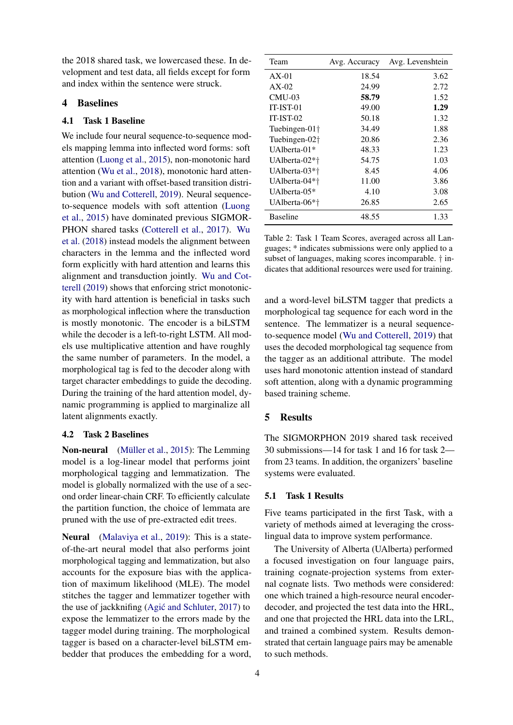the 2018 shared task, we lowercased these. In development and test data, all fields except for form and index within the sentence were struck.

# 4 Baselines

# 4.1 Task 1 Baseline

We include four neural sequence-to-sequence models mapping lemma into inflected word forms: soft attention [\(Luong et al.,](#page-13-5) [2015\)](#page-13-5), non-monotonic hard attention [\(Wu et al.,](#page-15-3) [2018\)](#page-15-3), monotonic hard attention and a variant with offset-based transition distribution [\(Wu and Cotterell,](#page-15-4) [2019\)](#page-15-4). Neural sequenceto-sequence models with soft attention [\(Luong](#page-13-5) [et al.,](#page-13-5) [2015\)](#page-13-5) have dominated previous SIGMOR-PHON shared tasks [\(Cotterell et al.,](#page-12-2) [2017\)](#page-12-2). [Wu](#page-15-3) [et al.](#page-15-3) [\(2018\)](#page-15-3) instead models the alignment between characters in the lemma and the inflected word form explicitly with hard attention and learns this alignment and transduction jointly. [Wu and Cot](#page-15-4)[terell](#page-15-4) [\(2019\)](#page-15-4) shows that enforcing strict monotonicity with hard attention is beneficial in tasks such as morphological inflection where the transduction is mostly monotonic. The encoder is a biLSTM while the decoder is a left-to-right LSTM. All models use multiplicative attention and have roughly the same number of parameters. In the model, a morphological tag is fed to the decoder along with target character embeddings to guide the decoding. During the training of the hard attention model, dynamic programming is applied to marginalize all latent alignments exactly.

#### 4.2 Task 2 Baselines

Non-neural (Müller et al., [2015\)](#page-13-6): The Lemming model is a log-linear model that performs joint morphological tagging and lemmatization. The model is globally normalized with the use of a second order linear-chain CRF. To efficiently calculate the partition function, the choice of lemmata are pruned with the use of pre-extracted edit trees.

Neural [\(Malaviya et al.,](#page-13-7) [2019\)](#page-13-7): This is a stateof-the-art neural model that also performs joint morphological tagging and lemmatization, but also accounts for the exposure bias with the application of maximum likelihood (MLE). The model stitches the tagger and lemmatizer together with the use of jackknifing  $(Agi\acute{c}$  and Schluter, [2017\)](#page-12-3) to expose the lemmatizer to the errors made by the tagger model during training. The morphological tagger is based on a character-level biLSTM embedder that produces the embedding for a word,

| Team                      | Avg. Accuracy | Avg. Levenshtein |
|---------------------------|---------------|------------------|
| $AX-01$                   | 18.54         | 3.62             |
| $AX-02$                   | 24.99         | 2.72             |
| $CMU-03$                  | 58.79         | 1.52             |
| IT-IST-01                 | 49.00         | 1.29             |
| $IT-IST-02$               | 50.18         | 1.32             |
| Tuebingen-01 <sup>†</sup> | 34.49         | 1.88             |
| Tuebingen-02 <sup>†</sup> | 20.86         | 2.36             |
| $IIAlberta-01*$           | 48.33         | 1.23             |
| UAlberta-02*†             | 54.75         | 1.03             |
| UAlberta-03*†             | 8.45          | 4.06             |
| UAlberta-04*†             | 11.00         | 3.86             |
| UAlberta- $05*$           | 4.10          | 3.08             |
| UAlberta-06*†             | 26.85         | 2.65             |
| <b>Baseline</b>           | 48.55         | 1.33             |

Table 2: Task 1 Team Scores, averaged across all Languages; \* indicates submissions were only applied to a subset of languages, making scores incomparable. † indicates that additional resources were used for training.

and a word-level biLSTM tagger that predicts a morphological tag sequence for each word in the sentence. The lemmatizer is a neural sequenceto-sequence model [\(Wu and Cotterell,](#page-15-4) [2019\)](#page-15-4) that uses the decoded morphological tag sequence from the tagger as an additional attribute. The model uses hard monotonic attention instead of standard soft attention, along with a dynamic programming based training scheme.

## 5 Results

The SIGMORPHON 2019 shared task received 30 submissions—14 for task 1 and 16 for task 2 from 23 teams. In addition, the organizers' baseline systems were evaluated.

#### 5.1 Task 1 Results

Five teams participated in the first Task, with a variety of methods aimed at leveraging the crosslingual data to improve system performance.

The University of Alberta (UAlberta) performed a focused investigation on four language pairs, training cognate-projection systems from external cognate lists. Two methods were considered: one which trained a high-resource neural encoderdecoder, and projected the test data into the HRL, and one that projected the HRL data into the LRL, and trained a combined system. Results demonstrated that certain language pairs may be amenable to such methods.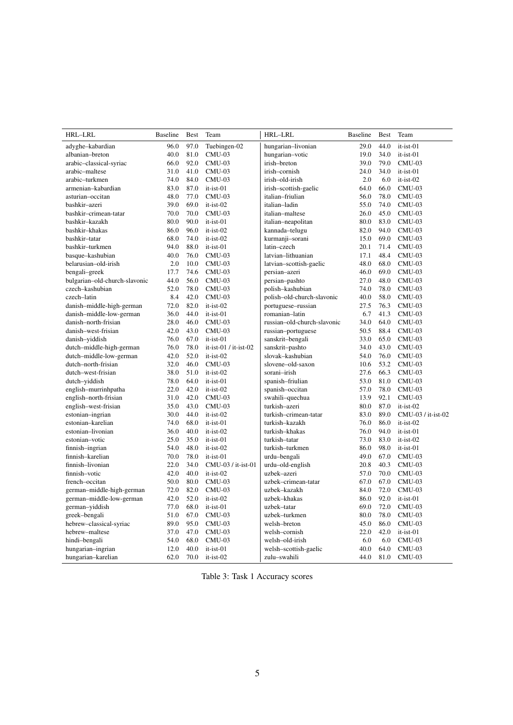| HRL-LRL                       | <b>Baseline</b> | <b>Best</b> | Team                    | HRL-LRL                     | <b>Baseline</b> | <b>Best</b> | Team               |
|-------------------------------|-----------------|-------------|-------------------------|-----------------------------|-----------------|-------------|--------------------|
| adyghe-kabardian              | 96.0            | 97.0        | Tuebingen-02            | hungarian-livonian          | 29.0            | 44.0        | it-ist-01          |
| albanian-breton               | 40.0            | 81.0        | $CMU-03$                | hungarian-votic             | 19.0            | 34.0        | it-ist-01          |
| arabic-classical-syriac       | 66.0            | 92.0        | $CMU-03$                | irish-breton                | 39.0            | 79.0        | $CMU-03$           |
| arabic-maltese                | 31.0            | 41.0        | $CMU-03$                | irish-cornish               | 24.0            | 34.0        | it-ist-01          |
| arabic-turkmen                | 74.0            | 84.0        | $CMU-03$                | irish-old-irish             | 2.0             | 6.0         | it-ist-02          |
| armenian-kabardian            | 83.0            | 87.0        | $it-ist-01$             | irish-scottish-gaelic       | 64.0            | 66.0        | $CMU-03$           |
| asturian-occitan              | 48.0            | 77.0        | $CMU-03$                | italian-friulian            | 56.0            | 78.0        | $CMU-03$           |
| bashkir-azeri                 | 39.0            | 69.0        | it-ist-02               | italian-ladin               | 55.0            | 74.0        | $CMU-03$           |
| bashkir-crimean-tatar         | 70.0            | 70.0        | $CMU-03$                | italian-maltese             | 26.0            | 45.0        | $CMU-03$           |
| bashkir–kazakh                | 80.0            | 90.0        | $it-ist-01$             | italian-neapolitan          | 80.0            | 83.0        | $CMU-03$           |
| bashkir–khakas                | 86.0            | 96.0        | $it-ist-02$             | kannada-telugu              | 82.0            | 94.0        | $CMU-03$           |
| bashkir-tatar                 | 68.0            | 74.0        | it-ist-02               | kurmanji-sorani             | 15.0            | 69.0        | $CMU-03$           |
| bashkir-turkmen               | 94.0            | 88.0        | it-ist-01               | latin-czech                 | 20.1            | 71.4        | $CMU-03$           |
| basque-kashubian              | 40.0            | 76.0        | $CMU-03$                | latvian-lithuanian          | 17.1            | 48.4        | $CMU-03$           |
| belarusian-old-irish          | 2.0             | 10.0        | $CMU-03$                | latvian-scottish-gaelic     | 48.0            | 68.0        | $CMU-03$           |
| bengali-greek                 | 17.7            | 74.6        | $CMU-03$                | persian-azeri               | 46.0            | 69.0        | $CMU-03$           |
| bulgarian-old-church-slavonic | 44.0            | 56.0        | $CMU-03$                | persian-pashto              | 27.0            | 48.0        | $CMU-03$           |
| czech-kashubian               | 52.0            | 78.0        | $CMU-03$                | polish-kashubian            | 74.0            | 78.0        | $CMU-03$           |
| czech-latin                   | 8.4             | 42.0        | $CMU-03$                | polish-old-church-slavonic  | 40.0            | 58.0        | $CMU-03$           |
| danish-middle-high-german     | 72.0            | 82.0        | $it-ist-02$             | portuguese-russian          | 27.5            | 76.3        | $CMU-03$           |
| danish-middle-low-german      | 36.0            | 44.0        | $it-ist-01$             | romanian-latin              | 6.7             | 41.3        | $CMU-03$           |
| danish-north-frisian          | 28.0            | 46.0        | $CMU-03$                | russian-old-church-slavonic | 34.0            | 64.0        | $CMU-03$           |
| danish–west-frisian           | 42.0            | 43.0        | $CMU-03$                | russian-portuguese          | 50.5            | 88.4        | $CMU-03$           |
| danish-yiddish                | 76.0            | 67.0        | $it-ist-01$             | sanskrit-bengali            | 33.0            | 65.0        | $CMU-03$           |
| dutch-middle-high-german      | 76.0            | 78.0        | $it-ist-01 / it-ist-02$ | sanskrit-pashto             | 34.0            | 43.0        | $CMU-03$           |
| dutch-middle-low-german       | 42.0            | 52.0        | it-ist-02               | slovak-kashubian            | 54.0            | 76.0        | $CMU-03$           |
| dutch-north-frisian           | 32.0            | 46.0        | $CMU-03$                | slovene-old-saxon           | 10.6            | 53.2        | $CMU-03$           |
| dutch–west-frisian            | 38.0            | 51.0        | it-ist-02               | sorani-irish                | 27.6            | 66.3        | $CMU-03$           |
| dutch-yiddish                 | 78.0            | 64.0        | it-ist-01               | spanish-friulian            | 53.0            | 81.0        | $CMU-03$           |
| english-murrinhpatha          | 22.0            | 42.0        | it-ist-02               | spanish-occitan             | 57.0            | 78.0        | $CMU-03$           |
| english-north-frisian         | 31.0            | 42.0        | $CMU-03$                | swahili-quechua             | 13.9            | 92.1        | $CMU-03$           |
| english-west-frisian          | 35.0            | 43.0        | $CMU-03$                | turkish-azeri               | 80.0            | 87.0        | it-ist-02          |
| estonian-ingrian              | 30.0            | 44.0        | $it-ist-02$             | turkish-crimean-tatar       | 83.0            | 89.0        | CMU-03 / it-ist-02 |
| estonian-karelian             | 74.0            | 68.0        | $it-ist-01$             | turkish-kazakh              | 76.0            | 86.0        | it-ist-02          |
| estonian-livonian             | 36.0            | 40.0        | it-ist-02               | turkish-khakas              | 76.0            | 94.0        | it-ist-01          |
| estonian-votic                | 25.0            | 35.0        | $it-ist-01$             | turkish-tatar               | 73.0            | 83.0        | it-ist-02          |
| finnish-ingrian               | 54.0            | 48.0        | $it-ist-02$             | turkish-turkmen             | 86.0            | 98.0        | it-ist-01          |
| finnish-karelian              | 70.0            | 78.0        | it-ist-01               | urdu-bengali                | 49.0            | 67.0        | $CMU-03$           |
| finnish-livonian              | 22.0            | 34.0        | CMU-03 / it-ist-01      | urdu-old-english            | 20.8            | 40.3        | $CMU-03$           |
| finnish-votic                 | 42.0            | 40.0        | it-ist-02               | uzbek-azeri                 | 57.0            | 70.0        | $CMU-03$           |
| french-occitan                | 50.0            | 80.0        | $CMU-03$                | uzbek-crimean-tatar         | 67.0            | 67.0        | $CMU-03$           |
| german-middle-high-german     | 72.0            | 82.0        | $CMU-03$                | uzbek-kazakh                | 84.0            | 72.0        | $CMU-03$           |
| german-middle-low-german      | 42.0            | 52.0        | it-ist-02               | uzbek-khakas                | 86.0            | 92.0        | it-ist-01          |
| german-yiddish                | 77.0            | 68.0        | it-ist-01               | uzbek-tatar                 | 69.0            | 72.0        | $CMU-03$           |
| greek-bengali                 | 51.0            | 67.0        | $CMU-03$                | uzbek-turkmen               | 80.0            | 78.0        | $CMU-03$           |
| hebrew-classical-syriac       | 89.0            | 95.0        | $CMU-03$                | welsh-breton                | 45.0            | 86.0        | $CMU-03$           |
| hebrew-maltese                | 37.0            | 47.0        | $CMU-03$                | welsh-cornish               | 22.0            | 42.0        | it-ist-01          |
| hindi-bengali                 | 54.0            | 68.0        | $CMU-03$                | welsh-old-irish             | 6.0             | 6.0         | $CMU-03$           |
| hungarian-ingrian             | 12.0            | 40.0        | $it-ist-01$             | welsh-scottish-gaelic       | 40.0            | 64.0        | $CMU-03$           |
| hungarian-karelian            | 62.0            | 70.0        | it-ist-02               | zulu-swahili                | 44.0            | 81.0        | $CMU-03$           |

Table 3: Task 1 Accuracy scores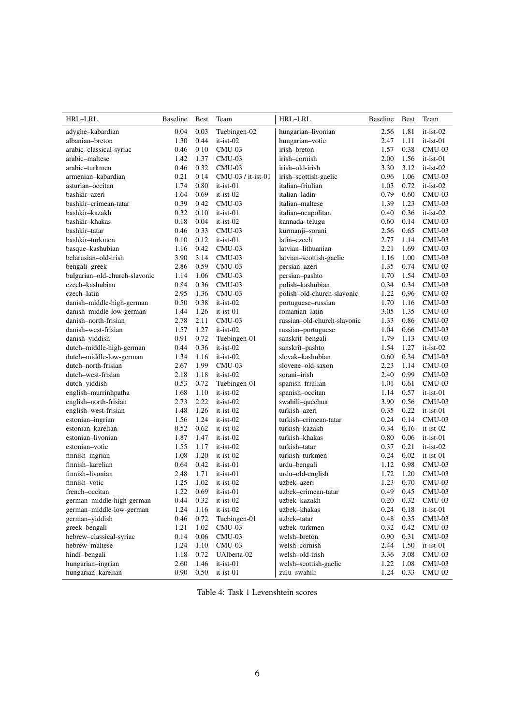| HRL-LRL                       | <b>Baseline</b> | <b>Best</b> | Team               | HRL-LRL                     | <b>Baseline</b> | <b>Best</b> | Team        |
|-------------------------------|-----------------|-------------|--------------------|-----------------------------|-----------------|-------------|-------------|
| adyghe-kabardian              | 0.04            | 0.03        | Tuebingen-02       | hungarian-livonian          | 2.56            | 1.81        | $it-ist-02$ |
| albanian-breton               | 1.30            | 0.44        | $it-ist-02$        | hungarian-votic             | 2.47            | 1.11        | $it-ist-01$ |
| arabic-classical-syriac       | 0.46            | 0.10        | $CMU-03$           | irish-breton                | 1.57            | 0.38        | $CMU-03$    |
| arabic-maltese                | 1.42            | 1.37        | $CMU-03$           | irish-cornish               | 2.00            | 1.56        | $it-ist-01$ |
| arabic-turkmen                | 0.46            | 0.32        | $CMU-03$           | irish-old-irish             | 3.30            | 3.12        | $it-ist-02$ |
| armenian-kabardian            | 0.21            | 0.14        | CMU-03 / it-ist-01 | irish-scottish-gaelic       | 0.96            | 1.06        | $CMU-03$    |
| asturian-occitan              | 1.74            | 0.80        | it-ist-01          | italian-friulian            | 1.03            | 0.72        | $it-ist-02$ |
| bashkir-azeri                 | 1.64            | 0.69        | $it-ist-02$        | italian-ladin               | 0.79            | 0.60        | $CMU-03$    |
| bashkir-crimean-tatar         | 0.39            | 0.42        | $CMU-03$           | italian-maltese             | 1.39            | 1.23        | $CMU-03$    |
| bashkir-kazakh                | 0.32            | 0.10        | it-ist-01          | italian-neapolitan          | 0.40            | 0.36        | $it-ist-02$ |
| bashkir-khakas                | 0.18            | 0.04        | $it-ist-02$        | kannada-telugu              | 0.60            | 0.14        | $CMU-03$    |
| bashkir-tatar                 | 0.46            | 0.33        | $CMU-03$           | kurmanji-sorani             | 2.56            | 0.65        | $CMU-03$    |
| bashkir-turkmen               | 0.10            | 0.12        | $it-ist-01$        | latin-czech                 | 2.77            | 1.14        | $CMU-03$    |
| basque-kashubian              | 1.16            | 0.42        | $CMU-03$           | latvian-lithuanian          | 2.21            | 1.69        | $CMU-03$    |
| belarusian-old-irish          | 3.90            | 3.14        | $CMU-03$           | latvian-scottish-gaelic     | 1.16            | 1.00        | $CMU-03$    |
| bengali-greek                 | 2.86            | 0.59        | $CMU-03$           | persian-azeri               | 1.35            | 0.74        | $CMU-03$    |
| bulgarian-old-church-slavonic | 1.14            | 1.06        | $CMU-03$           | persian-pashto              | 1.70            | 1.54        | $CMU-03$    |
| czech-kashubian               | 0.84            | 0.36        | $CMU-03$           | polish-kashubian            | 0.34            | 0.34        | $CMU-03$    |
| czech-latin                   | 2.95            | 1.36        | $CMU-03$           | polish-old-church-slavonic  | 1.22            | 0.96        | $CMU-03$    |
| danish-middle-high-german     | 0.50            | 0.38        | $it-ist-02$        | portuguese-russian          | 1.70            | 1.16        | $CMU-03$    |
| danish-middle-low-german      | 1.44            | 1.26        | it-ist-01          | romanian-latin              | 3.05            | 1.35        | $CMU-03$    |
| danish-north-frisian          | 2.78            | 2.11        | $CMU-03$           | russian-old-church-slavonic | 1.33            | 0.86        | $CMU-03$    |
| danish-west-frisian           | 1.57            | 1.27        | $it-ist-02$        | russian-portuguese          | 1.04            | 0.66        | $CMU-03$    |
| danish-yiddish                | 0.91            | 0.72        | Tuebingen-01       | sanskrit-bengali            | 1.79            | 1.13        | $CMU-03$    |
| dutch-middle-high-german      | 0.44            | 0.36        | $it-ist-02$        | sanskrit-pashto             | 1.54            | 1.27        | $it-ist-02$ |
| dutch-middle-low-german       | 1.34            | 1.16        | $it-ist-02$        | slovak-kashubian            | 0.60            | 0.34        | $CMU-03$    |
| dutch-north-frisian           | 2.67            | 1.99        | $CMU-03$           | slovene-old-saxon           | 2.23            | 1.14        | $CMU-03$    |
| dutch-west-frisian            | 2.18            | 1.18        | it-ist-02          | sorani-irish                | 2.40            | 0.99        | $CMU-03$    |
| dutch-yiddish                 | 0.53            | 0.72        | Tuebingen-01       | spanish-friulian            | 1.01            | 0.61        | $CMU-03$    |
| english-murrinhpatha          | 1.68            | 1.10        | it-ist-02          | spanish-occitan             | 1.14            | 0.57        | $it-ist-01$ |
| english-north-frisian         | 2.73            | 2.22        | $it-ist-02$        | swahili-quechua             | 3.90            | 0.56        | $CMU-03$    |
| english-west-frisian          | 1.48            | 1.26        | $it-ist-02$        | turkish-azeri               | 0.35            | 0.22        | it-ist-01   |
| estonian-ingrian              | 1.56            | 1.24        | it-ist-02          | turkish-crimean-tatar       | 0.24            | 0.14        | $CMU-03$    |
| estonian-karelian             | 0.52            | 0.62        | $it-ist-02$        | turkish-kazakh              | 0.34            | 0.16        | $it-ist-02$ |
| estonian-livonian             | 1.87            | 1.47        | $it-ist-02$        | turkish-khakas              | 0.80            | 0.06        | it-ist-01   |
| estonian-votic                | 1.55            | 1.17        | $it-ist-02$        | turkish-tatar               | 0.37            | 0.21        | $it-ist-02$ |
| finnish-ingrian               | 1.08            | 1.20        | $it-ist-02$        | turkish-turkmen             | 0.24            | 0.02        | it-ist-01   |
| finnish-karelian              | 0.64            | 0.42        | it-ist-01          | urdu-bengali                | 1.12            | 0.98        | $CMU-03$    |
| finnish-livonian              | 2.48            | 1.71        | it-ist-01          | urdu-old-english            | 1.72            | 1.20        | $CMU-03$    |
| finnish-votic                 | 1.25            | 1.02        | $it-ist-02$        | uzbek-azeri                 | 1.23            | 0.70        | $CMU-03$    |
| french-occitan                | 1.22            | 0.69        | it-ist-01          | uzbek-crimean-tatar         | 0.49            | 0.45        | $CMU-03$    |
| german-middle-high-german     | 0.44            | 0.32        | $it-ist-02$        | uzbek-kazakh                | 0.20            | 0.32        | $CMU-03$    |
| german-middle-low-german      | 1.24            | 1.16        | it-ist-02          | uzbek-khakas                | 0.24            | 0.18        | it-ist-01   |
| german-yiddish                | 0.46            | 0.72        | Tuebingen-01       | uzbek-tatar                 | 0.48            | 0.35        | $CMU-03$    |
| greek-bengali                 | 1.21            | 1.02        | $CMU-03$           | uzbek-turkmen               | 0.32            | 0.42        | $CMU-03$    |
| hebrew-classical-syriac       | 0.14            | 0.06        | $CMU-03$           | welsh-breton                | 0.90            | 0.31        | $CMU-03$    |
| hebrew-maltese                | 1.24            | 1.10        | $CMU-03$           | welsh-cornish               | 2.44            | 1.50        | it-ist-01   |
| hindi-bengali                 | 1.18            | 0.72        | UAlberta-02        | welsh-old-irish             | 3.36            | 3.08        | $CMU-03$    |
| hungarian-ingrian             | 2.60            | 1.46        | it-ist-01          | welsh-scottish-gaelic       | 1.22            | 1.08        | $CMU-03$    |
| hungarian-karelian            | 0.90            | 0.50        | it-ist-01          | zulu-swahili                | 1.24            | 0.33        | $CMU-03$    |

Table 4: Task 1 Levenshtein scores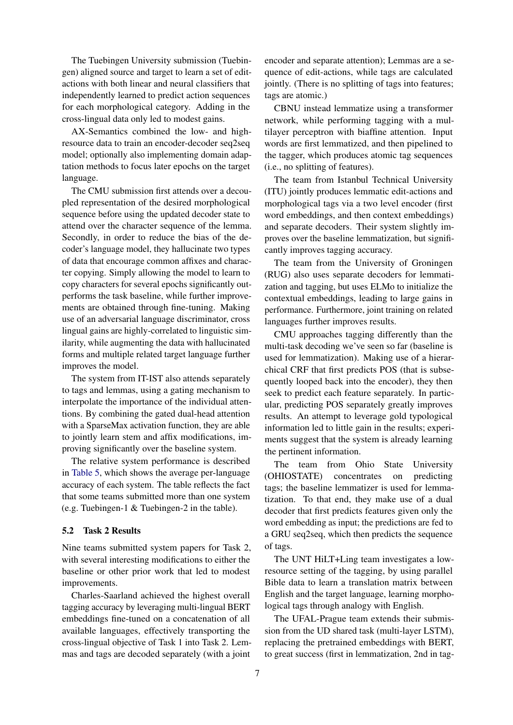The Tuebingen University submission (Tuebingen) aligned source and target to learn a set of editactions with both linear and neural classifiers that independently learned to predict action sequences for each morphological category. Adding in the cross-lingual data only led to modest gains.

AX-Semantics combined the low- and highresource data to train an encoder-decoder seq2seq model; optionally also implementing domain adaptation methods to focus later epochs on the target language.

The CMU submission first attends over a decoupled representation of the desired morphological sequence before using the updated decoder state to attend over the character sequence of the lemma. Secondly, in order to reduce the bias of the decoder's language model, they hallucinate two types of data that encourage common affixes and character copying. Simply allowing the model to learn to copy characters for several epochs significantly outperforms the task baseline, while further improvements are obtained through fine-tuning. Making use of an adversarial language discriminator, cross lingual gains are highly-correlated to linguistic similarity, while augmenting the data with hallucinated forms and multiple related target language further improves the model.

The system from IT-IST also attends separately to tags and lemmas, using a gating mechanism to interpolate the importance of the individual attentions. By combining the gated dual-head attention with a SparseMax activation function, they are able to jointly learn stem and affix modifications, improving significantly over the baseline system.

The relative system performance is described in [Table 5,](#page-7-0) which shows the average per-language accuracy of each system. The table reflects the fact that some teams submitted more than one system (e.g. Tuebingen-1 & Tuebingen-2 in the table).

#### 5.2 Task 2 Results

Nine teams submitted system papers for Task 2, with several interesting modifications to either the baseline or other prior work that led to modest improvements.

Charles-Saarland achieved the highest overall tagging accuracy by leveraging multi-lingual BERT embeddings fine-tuned on a concatenation of all available languages, effectively transporting the cross-lingual objective of Task 1 into Task 2. Lemmas and tags are decoded separately (with a joint

encoder and separate attention); Lemmas are a sequence of edit-actions, while tags are calculated jointly. (There is no splitting of tags into features; tags are atomic.)

CBNU instead lemmatize using a transformer network, while performing tagging with a multilayer perceptron with biaffine attention. Input words are first lemmatized, and then pipelined to the tagger, which produces atomic tag sequences (i.e., no splitting of features).

The team from Istanbul Technical University (ITU) jointly produces lemmatic edit-actions and morphological tags via a two level encoder (first word embeddings, and then context embeddings) and separate decoders. Their system slightly improves over the baseline lemmatization, but significantly improves tagging accuracy.

The team from the University of Groningen (RUG) also uses separate decoders for lemmatization and tagging, but uses ELMo to initialize the contextual embeddings, leading to large gains in performance. Furthermore, joint training on related languages further improves results.

CMU approaches tagging differently than the multi-task decoding we've seen so far (baseline is used for lemmatization). Making use of a hierarchical CRF that first predicts POS (that is subsequently looped back into the encoder), they then seek to predict each feature separately. In particular, predicting POS separately greatly improves results. An attempt to leverage gold typological information led to little gain in the results; experiments suggest that the system is already learning the pertinent information.

The team from Ohio State University (OHIOSTATE) concentrates on predicting tags; the baseline lemmatizer is used for lemmatization. To that end, they make use of a dual decoder that first predicts features given only the word embedding as input; the predictions are fed to a GRU seq2seq, which then predicts the sequence of tags.

The UNT HiLT+Ling team investigates a lowresource setting of the tagging, by using parallel Bible data to learn a translation matrix between English and the target language, learning morphological tags through analogy with English.

The UFAL-Prague team extends their submission from the UD shared task (multi-layer LSTM), replacing the pretrained embeddings with BERT, to great success (first in lemmatization, 2nd in tag-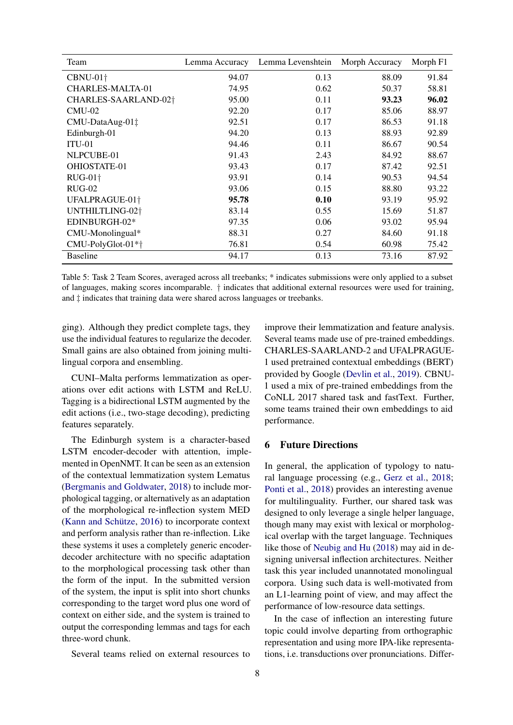<span id="page-7-0"></span>

| Team                             | Lemma Accuracy | Lemma Levenshtein | Morph Accuracy | Morph F1 |
|----------------------------------|----------------|-------------------|----------------|----------|
| CBNU-01 <sup>+</sup>             | 94.07          | 0.13              | 88.09          | 91.84    |
| CHARLES-MALTA-01                 | 74.95          | 0.62              | 50.37          | 58.81    |
| CHARLES-SAARLAND-02 <sup>+</sup> | 95.00          | 0.11              | 93.23          | 96.02    |
| $CMU-02$                         | 92.20          | 0.17              | 85.06          | 88.97    |
| CMU-DataAug-01‡                  | 92.51          | 0.17              | 86.53          | 91.18    |
| Edinburgh-01                     | 94.20          | 0.13              | 88.93          | 92.89    |
| $ITU-01$                         | 94.46          | 0.11              | 86.67          | 90.54    |
| NLPCUBE-01                       | 91.43          | 2.43              | 84.92          | 88.67    |
| OHIOSTATE-01                     | 93.43          | 0.17              | 87.42          | 92.51    |
| <b>RUG-01+</b>                   | 93.91          | 0.14              | 90.53          | 94.54    |
| $RUG-02$                         | 93.06          | 0.15              | 88.80          | 93.22    |
| UFALPRAGUE-01 <sup>+</sup>       | 95.78          | 0.10              | 93.19          | 95.92    |
| UNTHILTLING-02 <sup>+</sup>      | 83.14          | 0.55              | 15.69          | 51.87    |
| EDINBURGH-02*                    | 97.35          | 0.06              | 93.02          | 95.94    |
| CMU-Monolingual*                 | 88.31          | 0.27              | 84.60          | 91.18    |
| CMU-PolyGlot-01*+                | 76.81          | 0.54              | 60.98          | 75.42    |
| <b>Baseline</b>                  | 94.17          | 0.13              | 73.16          | 87.92    |

Table 5: Task 2 Team Scores, averaged across all treebanks; \* indicates submissions were only applied to a subset of languages, making scores incomparable. † indicates that additional external resources were used for training, and ‡ indicates that training data were shared across languages or treebanks.

ging). Although they predict complete tags, they use the individual features to regularize the decoder. Small gains are also obtained from joining multilingual corpora and ensembling.

CUNI–Malta performs lemmatization as operations over edit actions with LSTM and ReLU. Tagging is a bidirectional LSTM augmented by the edit actions (i.e., two-stage decoding), predicting features separately.

The Edinburgh system is a character-based LSTM encoder-decoder with attention, implemented in OpenNMT. It can be seen as an extension of the contextual lemmatization system Lematus [\(Bergmanis and Goldwater,](#page-12-4) [2018\)](#page-12-4) to include morphological tagging, or alternatively as an adaptation of the morphological re-inflection system MED (Kann and Schütze,  $2016$ ) to incorporate context and perform analysis rather than re-inflection. Like these systems it uses a completely generic encoderdecoder architecture with no specific adaptation to the morphological processing task other than the form of the input. In the submitted version of the system, the input is split into short chunks corresponding to the target word plus one word of context on either side, and the system is trained to output the corresponding lemmas and tags for each three-word chunk.

Several teams relied on external resources to

improve their lemmatization and feature analysis. Several teams made use of pre-trained embeddings. CHARLES-SAARLAND-2 and UFALPRAGUE-1 used pretrained contextual embeddings (BERT) provided by Google [\(Devlin et al.,](#page-13-9) [2019\)](#page-13-9). CBNU-1 used a mix of pre-trained embeddings from the CoNLL 2017 shared task and fastText. Further, some teams trained their own embeddings to aid performance.

## 6 Future Directions

In general, the application of typology to natural language processing (e.g., [Gerz et al.,](#page-13-10) [2018;](#page-13-10) [Ponti et al.,](#page-14-3) [2018\)](#page-14-3) provides an interesting avenue for multilinguality. Further, our shared task was designed to only leverage a single helper language, though many may exist with lexical or morphological overlap with the target language. Techniques like those of [Neubig and Hu](#page-13-11) [\(2018\)](#page-13-11) may aid in designing universal inflection architectures. Neither task this year included unannotated monolingual corpora. Using such data is well-motivated from an L1-learning point of view, and may affect the performance of low-resource data settings.

In the case of inflection an interesting future topic could involve departing from orthographic representation and using more IPA-like representations, i.e. transductions over pronunciations. Differ-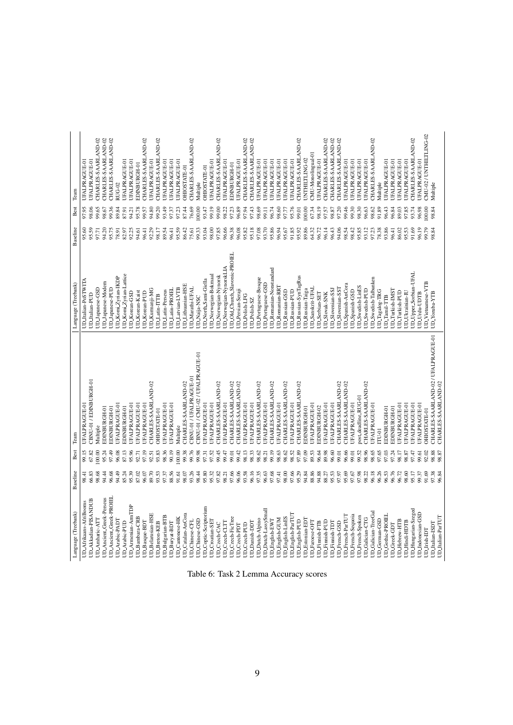| Language (Treebank)                         | Baseline       | Best           | Team                                | Language (Treebank)                      | Baseline       | Best           | Team                                 |
|---------------------------------------------|----------------|----------------|-------------------------------------|------------------------------------------|----------------|----------------|--------------------------------------|
| UD_Afrikaans-AfriBooms                      | 98.41          | 99.15          | UFALPRAGUE-01                       | UD_Italian-PoSTWITA                      | 95.60          | 97.95          | UFALPRAGUE-01                        |
| UD_Akkadian-PISANDUB                        | 66.83          | 67.82          | CBNU-01/EDINBURGH-01                | UD_Italian-PUD                           | 95.59          | 98.06          | UFALPRAGUE-01                        |
| UD_Amharic-ATT                              | 98.68          | 100.00         | Multiple                            | UDJapanese-GSD                           | 97.71          | 99.65          | CHARLES-SAARLAND-02                  |
| UD_Ancient_Greek-Perseus                    | 94.44          | 95.24          | EDINBURGH-01                        | UD Japanese-Modern                       | 94.20          | 98.67          | CHARLES-SAARLAND-02                  |
| UD_Ancient_Greek-PROIEL                     | 96.68          | 97.49          | EDINBURGH-01                        | UDJapanese-PUD                           | 95.75          | 99.36          | CHARLES-SAARLAND-02                  |
| UD_Arabic-PADT                              | 94.49          | 96.08          | UFALPRAGUE-01                       | UD_Komi_Zyrian-IKDP                      | 78.91          | 89.84          | RUG-02                               |
| <b>UD_Arabic-PUD</b>                        | 85.24          | 87.13          | EDINBURGH-01                        | $UD_K$ omi $Z$ yrian-Lattice             | 82.97          | 87.91          | <b>UFALPRAGUE-01</b>                 |
| UD_Amenian-ArmTDP                           | 95.39          | 95.96          | UFALPRAGUE-01                       | <b>UD_Korean-GSD</b>                     | 92.25          | 94.21          | <b>UFALPRAGUE-01</b>                 |
| UD_Bambara-CRB                              | 87.02          | 92.71          | UFALPRAGUE-01                       | <b>UD_Korean-Kaist</b>                   | 94.61          | 95.78          | EDINBURGH-01                         |
| UD_Basque-BDT                               | 96.07          | 97.19          | UFALPRAGUE-01                       | UD_Korean-PUD                            | 96.41          | 99.57          | CHARLES-SAARLAND-02                  |
| <b>UD_Belarusian-HSE</b>                    | 89.70          | 92.51          | CHARLES-SAARLAND-02                 | UD_Kurmanji-MG                           | 92.29          | 94.80          | UFALPRAGUE-01                        |
| <b>UD_Breton-KEB</b>                        | 93.53          | 93.83          | <b>OHIOSTATE-01</b>                 | UD <sub>Latin-ITTB</sub>                 | 98.17          | 99.20          | CHARLES-SAARLAND-02                  |
| UD_Bulgarian-BTB                            | 97.37          | 98.36          | <b>UFALPRAGUE-01</b>                | <b>UD</b> Latin-Perseus                  | 89.54          | 93.49          | UFALPRAGUE-01                        |
| UD_Buryat-BDT                               | 88.56          | 90.19          | UFALPRAGUE-01                       | UD <sub>Latin-PROIEL</sub>               | 96.41          | 97.37          | UFALPRAGUE-01                        |
| UD_Cantonese-HK                             | 91.61          | 00.00          | Multiple                            | UD <sub>Latvian-LVTB</sub>               | 95.59          | 97.23          | <b>UFALPRAGUE-01</b>                 |
| UD_Catalan-AnCora                           | 98.07          | 99.38          | CHARLES-SAARLAND-02                 | UD_Lithuanian-HSE                        | 86.42          | 87.44          | OHIOSTATE-01                         |
| UD_Chinese-CFL                              | 93.26          | 99.76          | CBNU-01 / UFALPRAGUE-01             | UD_Marathi-UFAL                          | 75.61          | 76.69          | CHARLES-SAARLAND-02                  |
| UD_Chinese-GSD                              | 98.44          | 99.98          | CBNU-01 / CMU-02 / UFALPRAGUE-01    | UD_Naija-NSC                             | 99.33          | 100.00         | Multiple                             |
| UD_Coptic-Scriptorium                       | 95.80          | 97.31          | UFALPRAGUE-01                       | UD_North_Sami-Giella                     | 93.04          | 93.47          | OHIOSTATE-01                         |
| UD_Croatian-SET                             | 95.32          | 97.52          | <b>UFALPRAGUE-01</b>                | <b>JD_Norwegian-Bokmaa</b>               | 98.00          | 99.19          | <b>JFALPRAGUE-01</b>                 |
| UD_Czech-CAC                                | 97.82          | 99.45          | CHARLES-SAARLAND-02                 | <b>UD_Norwegian-Nynorsk</b>              | 97.85          | 99.00          | CHARLES-SAARLAND-02                  |
| UD_Czech-CLTT                               | 98.21          | 99.47          | <b>UFALPRAGUE-01</b>                | UD_Norwegian-NynorskLIA                  | 96.66          | 98.22          | <b>UFALPRAGUE-01</b>                 |
| UD_Czech-FicTree                            | 97.66          | 99.01          | CHARLES-SAARLAND-02                 | UD_Old_Church_Slavonic-PROIEL            | 96.38          | 97.23          | EDINBURGH-01                         |
| UD_Czech-PDT                                | 96.06          | 99.42          | CHARLES-SAARLAND-02                 | <b>UD</b> Persian-Seraji                 | 96.08          | 96.89          | <b>UFALPRAGUE-01</b>                 |
|                                             |                |                |                                     |                                          |                |                |                                      |
| UD_Czech-PUD                                | 93.58          | 98.13          | <b>UFALPRAGUE-01</b>                | <b>UD_Polish-LFG</b>                     | 95.82          | 97.94          | CHARLES-SAARLAND-02                  |
| UD_Danish-DDT                               | 96.16          | 98.33          | <b>UFALPRAGUE-01</b>                | UD Polish-SZ                             | 95.18          | 97.43          | CHARLES-SAARLAND-02                  |
| UD_Dutch-Alpino                             | 97.35          | 98.62          | CHARLES-SAARLAND-02                 | UD_Portuguese-Bosque                     | 97.08          | 98.69          | UFALPRAGUE-01                        |
| UD_Dutch-LassySmall                         | 96.63          | 98.21          | <b>UFALPRAGUE-01</b>                | UD_Portuguese-GSD                        | 93.70          | 99.11          | <b>JFALPRAGUE-01</b>                 |
| UD_English-EWT                              | 97.68          | 99.19          | CHARLES-SAARLAND-02                 | UD_Romanian-Nonstandard                  | 95.86          | 96.74          | <b>UFALPRAGUE-01</b>                 |
| UD_English-GUM                              | 97.41          | 98.63          | <b>UFALPRAGUE-01</b>                | <b>UD_Romanian-RRT</b>                   | 96.94          | 98.60          | UFALPRAGUE-01                        |
| UD_English-LinES                            | 98.00          | 98.62          | CHARLES-SAARLAND-02                 | UD_Russian-GSD                           | 95.67          | 97.77          | UFALPRAGUE-01                        |
| UD_English-ParTUT                           | 97.66          | 98.52          | <b>UFALPRAGUE-01</b>                | <b>UD_Russian-PUD</b>                    | 91.85          | 95.76          | <b>UFALPRAGUE-01</b>                 |
| UD_English-PUD                              | 95.29          | 97.89          | CHARLES-SAARLAND-02                 | <b>UD_Russian-SynTagRus</b>              | 95.92          | 99.01          | CHARLES-SAARLAND-02                  |
| <b>UD_Estonian-EDT</b>                      | 94.84          | 97.09          | EDINBURGH-01                        | UD_Russian-Taiga                         | 89.86          | 100.00         | UNTHILTLING-02                       |
| UD_Faroese-OFI                              | 88.86          | 89.53          | <b>UFALPRAGUE-01</b>                | UD_Sanskrit-UFAL                         | 64.32          | 67.34          | CMU-Monolingual-01                   |
| UD_Finnish-FTB                              | 94.88          | 96.64          | EDINBURGH-02                        | UD_Serbian-SET                           | 96.72          | 98.19          | <b>JFALPRAGUE-01</b>                 |
| UD_Finnish-PUD                              | 88.27          | 89.98          | UFALPRAGUE-01                       | UD_Slovak-SNK                            | 96.14          | 97.57          | CHARLES-SAARLAND-02                  |
| UD_Finnish-TDT                              | 95.53          | 96.60          | <b>UFALPRAGUE-01</b>                | UD_Slovenian-SSJ                         | 96.43          | 98.87          | CHARLES-SAARLAND-02                  |
| UD_French-GSD                               | 97.97          | 99.01          | CHARLES-SAARLAND-02                 | UD_Slovenian-SST                         | 94.06          | 97.20          | CHARLES-SAARLAND-02                  |
| UD_French-ParTUT                            | 95.69          | 96.66          | CHARLES-SAARLAND-02                 | UD_Spanish-AnCora                        | 98.54          | 99.46          | UFALPRAGUE-01                        |
| UD_French-Sequoia                           | 97.67          | 99.01          | <b>UFALPRAGUE-01</b>                | UD_Spanish-GSD                           | 98.42          | 99.30          | <b>UFALPRAGUE-01</b>                 |
| UD_French-Spoken                            | 97.98          | 99.52          | post_deadline_RUG-01                | UD_Swedish-LinES                         | 95.85          | 98.30          | <b>UFALPRAGUE-01</b>                 |
| UD_Galician-CTG                             | 98.22          | 98.96          | CHARLES-SAARLAND-02                 | UD_Swedish-PUD                           | 93.12          | 96.63          | <b>UFALPRAGUE-01</b>                 |
| UD_Galician-TreeGal                         | 96.18          | 98.65          | UFALPRAGUE-01                       | UD_Swedish-Talbanken                     | 97.23          | 98.62          | CHARLES-SAARLAND-02                  |
| UD_German-GSD                               | 96.26          | 97.65          | ID-01                               | UD_Tagalog-TRG                           | 78.38          | 91.89          | Multiple                             |
| <b>UD_Gothic-PROIEI</b>                     | 96.53          | 97.03          | EDINBURGH-01                        | <b>UD</b> Tamil-TTB                      | 93.86          | 96.43          | <b>UFALPRAGUE-01</b>                 |
| UD_Greek-GDT                                | 96.76          | 97.24          | EDINBURGH-01                        | UD_Turkish-IMST                          | 96.41          | 96.84          | <b>UFALPRAGUE-01</b>                 |
| UD_Hebrew-HTB                               | 96.72          | 98.17          | UFALPRAGUE-01                       | UD_Turkish-PUD                           | 86.02          | 89.03          | UFALPRAGUE-01                        |
| UD_Hungarian-Szeged<br><b>UD_Hindi-HDTB</b> | 98.60<br>95.17 | 97.47<br>98.87 | UFALPRAGUE-01<br>UFALPRAGUE-01      | UD_Upper_Sorbian-UFAL<br>UD_Ukrainian-IU | 91.69<br>95.53 | 97.85<br>93.74 | CHARLES-SAARLAND-02<br>JFALPRAGUE-01 |
| UD_Indonesian-GSD                           | 99.37          | 99.61          | UFALPRAGUE-01                       | UD_Urdu-UDTB                             | 96.19          | 96.98          | UFALPRAGUE-01                        |
| UD_Irish-IDT                                | 91.69          | 92.02          | OHIOSTATE-01                        | UD_Vietnamese-VTB                        | 99.79          | 00.00          | CMU-02 / UNTHILTLING-02              |
| UD_Italian-ISDT                             | 97.38          | 98.88          | CHARLES-SAARLAND-02 / UFALPRAGUE-01 | UD_Yoruba-YTB                            | 98.84          | 98.84          | Multiple                             |
| UD_Italian-ParTUT                           | 18.84          | 98.87          | CHARLES-SAARLAND-02                 |                                          |                |                |                                      |
|                                             |                |                |                                     |                                          |                |                |                                      |

Table 6: Task 2 Lemma Accuracy scores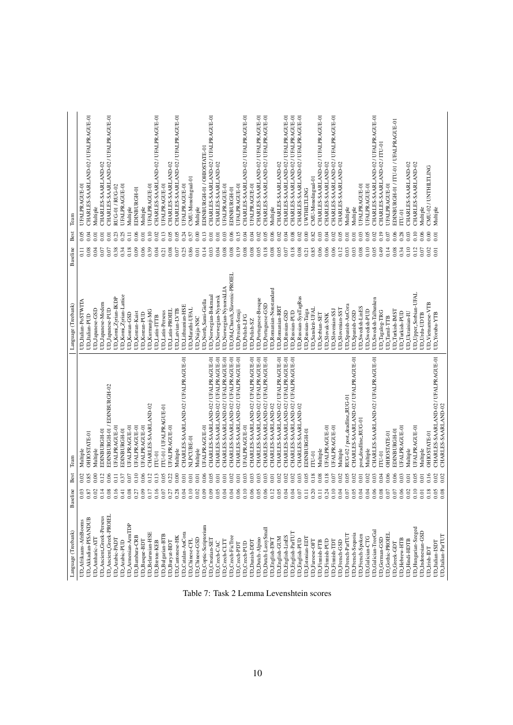| Language (Treebank)                  | Baseline                 | Best         | Team                                                       | Language (Treebank)          | Baseline          | Best             | Team                                  |
|--------------------------------------|--------------------------|--------------|------------------------------------------------------------|------------------------------|-------------------|------------------|---------------------------------------|
| UD_Afrikaans-AfriBooms               | 0.03                     | 0.02         | Multiple                                                   | UD_Italian-PoSTWITA          | $\overline{0.11}$ | 0.05             | UFALPRAGUE-01                         |
| UD_Akkadian-PISANDUB                 | $\frac{8}{3}$            | 0.85         | OHIOSTATE-01                                               | UD_Italian-PUD               | 0.08              | 0.04             | CHARLES-SAARLAND-02 / UFALPRAGUE-01   |
| UD_Amharic-ATT                       | S                        | 0.00         | Multiple                                                   | UD_Japanese-GSD              | 0.04              | 0.01             | Multiple                              |
| UD_Ancient_Greek-Perseus             | $\overline{\circ}$       | 0.12         | EDINBURGH-01                                               | UDJapanese-Modern            | 0.07              | 0.01             | CHARLES-SAARLAND-02                   |
| UD_Ancient_Greek-PROIEI              | $\rm ^{0}$               | 0.06         | EDINBURGH-01 / EDINBURGH-02                                | UD_Japanese-PUD              | 0.07              | 0.01             | CHARLES-SAARLAND-02 / UFALPRAGUE-01   |
| UD_Arabic-PADT                       | 5                        | 0.11         | <b>UFALPRAGUE-01</b>                                       | UD_Komi_Zyrian-IKDP          | 0.38              | 0.23             | RUG-01 / RUG-02                       |
| <b>UD_Arabic-PUD</b>                 | उ                        | 0.37         | EDINBURGH-01                                               | UD_Komi_Zyrian-Lattice       | 0.34              | 0.25             | UFALPRAGUE-01                         |
| UD_Armenian-ArmTDF                   | 3                        | 0.07         | <b>UFALPRAGUE-01</b>                                       | UD_Korean-GSD                | 0.18              | $\overline{0}$ . | Multiple                              |
| UD_Bambara-CRB                       | 3                        | 0.10         | UFALPRAGUE-01                                              | UD_Korean-Kaist              | 0.09              | 0.06             | EDINBURGH-01                          |
| UD_Basque-BDT                        | ⊙<br>3                   | 0.06         | UFALPRAGUE-01                                              | UD_Korean-PUD                | 0.06              | 0.01             | Multiple                              |
| <b>UD_Belarusian-HSE</b>             | 5                        | 0.12         | CHARLES-SAARLAND-02                                        | UD_Kurmanji-MG               | 0.39              | 0.10             | UFALPRAGUE-01                         |
| <b>UD_Breton-KEB</b>                 | ਡ                        | 0.13         | $TU-01$                                                    | UD <sub>Latin-ITTB</sub>     | 0.04              | 0.02             | CHARLES-SAARLAND-02 / UFALPRAGUE-01   |
| UD_Bulgarian-BTB                     | ĕ                        | 0.05         | TU-01 / UFALPRAGUE-01                                      | UD <sub>Latin-Perseus</sub>  | 0.21              | 0.13             | UFALPRAGUE-01                         |
| UD_Buryat-BDT                        | $\approx$                | 0.22         | UFALPRAGUE-01                                              | UD <sub>Latin-PROIEL</sub>   | 0.08              | 0.05             | CHARLES-SAARLAND-02                   |
| UD_Cantonese-HK                      | 6                        | 0.00         | Multiple                                                   | UD <sub>Latvian-LVTB</sub>   | 0.07              | 0.05             | CHARLES-SAARLAND-02 / UFALPRAGUE-01   |
| UD_Catalan-AnCora                    | 4<br>3                   | 0.01         | CHARLES-SAARLAND-02 / UFALPRAGUE-01                        | UD_Lithuanian-HSE            | 0.25              | 0.24             | UFALPRAGUE-01                         |
| UD_Chinese-CFL                       | ö                        | 0.01         | <b>NLPCUBE-01</b>                                          | UD_Marathi-UFAL              | 0.86              | 0.57             | CMU-Monolingual-01                    |
| UD_Chinese-GSD                       | ă                        | 0.01         | Multiple                                                   | UD_Naija-NSC                 | 0.01              | 0.00             | Multiple                              |
| UD_Coptic-Scriptorium                | ⊚<br>ĕ                   | 0.06         | UFALPRAGUE-01                                              | UD_North_Sami-Giella         | 0.14              | 0.13             | EDINBURGH-01 / OHIOSTATE-01           |
| UD_Croatian-SET                      | ⊚                        | 0.05         | CHARLES-SAARLAND-02 / UFALPRAGUE-01                        |                              | 0.03              | 0.01             | CHARLES-SAARLAND-02 / UFALPRAGUE-01   |
| UD_Czech-CAC                         |                          | 0.01         | CHARLES-SAARLAND-02 / UFALPRAGUE-01                        | UD_Norwegian-Bokmaal         | 0.04              | 0.01             | CHARLES-SAARLAND-02                   |
|                                      |                          |              |                                                            | UD_Norwegian-Nynorsk         |                   |                  |                                       |
| UD_Czech-CLTT                        |                          | 0.01         | CHARLES-SAARLAND-02 / UFALPRAGUE-01                        | UD_Norwegian-NynorskLIA      | 0.08              | 0.03             | UFALPRAGUE-01                         |
| UD_Czech-FicTree                     | 호                        | 0.02         | CHARLES-SAARLAND-02 / UFALPRAGUE-01                        | UD_Old_Church_Slavonic-PROEL | 0.08              | 0.06             | EDINBURGH-01                          |
| UD_Czech-PDT                         |                          | 0.01         | CHARLES-SAARLAND-02 / UFALPRAGUE-01                        | UD_Persian-Seraji            | 0.19              | 0.15             | UFALPRAGUE-01                         |
| UD_Czech-PUD                         |                          | 0.03         | UFALPRAGUE-01                                              | UD_Polish-LFG                | 0.08              | 0.04             | CHARLES-SAARLAND-02 / UFALPRAGUE-01   |
| <b>UD_Danish-DDT</b>                 |                          | 0.03         | CHARLES-SAARLAND-02 / UFALPRAGUE-01                        | UD_Polish-SZ                 | 0.08              | 0.04             | UFALPRAGUE-01                         |
| UD_Dutch-Alpino                      |                          | 0.03         | CHARLES-SAARLAND-02 / UFALPRAGUE-01                        | UD_Portuguese-Bosque         | 0.05              | 0.02             | CHARLES-SAARLAND-02 / UFALPRAGUE-01   |
| UD_Dutch-LassySmall                  |                          | 0.03         | CHARLES-SAARLAND-02 / UFALPRAGUE-01                        | UD_Portuguese-GSD            | 0.18              | 0.05             | CHARLES-SAARLAND-02 / UFALPRAGUE-01   |
| UD_English-EWT                       |                          | 0.01         | CHARLES-SAARLAND-02                                        | UD_Romanian-Nonstandard      | 0.08              | 0.06             | Multiple                              |
| UD_English-GUM                       |                          | 0.02         | CHARLES-SAARLAND-02 / UFALPRAGUE-01                        | UD_Romanian-RRT              | 0.05              | 0.02             | CHARLES-SAARLAND-02                   |
| UD_English-LinES                     |                          | 0.02         | CHARLES-SAARLAND-02 / UFALPRAGUE-01                        | UD_Russian-GSD               | 0.07              | 0.04             | CHARLES-SAARLAND-02 / UFALPRAGUE-01   |
| UD_English-ParTUT                    |                          | 0.02         | CHARLES-SAARLAND-02 / UFALPRAGUE-01                        | UD_Russian-PUD               | 0.18              | 0.08             | CHARLES-SAARLAND-02 / UFALPRAGUE-01   |
| UD_English-PUD                       |                          | 0.03         | CHARLES-SAARLAND-02                                        | UD_Russian-SynTagRus         | 0.08              | 0.02             | CHARLES-SAARLAND-02 / UFALPRAGUE-01   |
| UD_Estonian-EDT                      | ö                        | 0.05         | EDINBURGH-01                                               | UD_Russian-Taiga             | 0.21              | 0.00             | <b>UWTHILTLING</b>                    |
| UD_Faroese-OFT                       | 5                        | 0.18         | $TU-01$                                                    | <b>UD_Sanskrit-UFAL</b>      | 0.85              | 0.82             | CMU-Monolingual-01                    |
| UD_Finnish-FTB                       | ਡ                        | 0.08         | Multiple                                                   | UD_Serbian-SET               | 0.06              | 0.03             | CHARLES-SAARLAND-02 / UFALPRAGUE-01   |
| UD_Finnish-PUD                       | 3                        | 0.18         | UFALPRAGUE-01                                              | <b>UD_Slovak-SNK</b>         | 0.06              | 0.04             | CHARLES-SAARLAND-02                   |
| UD_Finnish-TDT                       | ತ                        | 0.07         | UFALPRAGUE-01                                              | UD_Slovenian-SSJ             | 0.06              | 0.02             | CHARLES-SAARLAND-02 / UFALPRAGUE-01   |
| UD_French-GSD                        | 3                        | 0.02         | Multiple                                                   | UD_Slovenian-SST             | 0.12              | 0.05             | CHARLES-SAARLAND-02                   |
| UD_French-ParTUT                     | 3                        | 0.05         | RUG-02 / post_deadline_RUG-01                              | UD_Spanish-AnCora            | 0.03              | 0.01             | Multiple                              |
| UD_French-Sequoia                    | 3                        | 0.02         | CHARLES-SAARLAND-02 / UFALPRAGUE-01                        | UD_Spanish-GSD               | 0.03              | 0.01             | Multiple                              |
| UD_French-Spoken                     | 3                        | 0.01         | post_deadline_RUG-01                                       | UD_Swedish-LinES             | 0.08              | 0.03             | UFALPRAGUE-01                         |
| UD_Galician-CTG                      | 4<br>3                   | 0.02         | Multiple                                                   | UD_Swedish-PUD               | 0.10              | 0.05             | UFALPRAGUE-01                         |
| UD_Galician-TreeGal                  | 3                        | 0.03         | CHARLES-SAARLAND-02 / UFALPRAGUE-01                        | UD_Swedish-Talbanken         | 0.05              | 0.02             | CHARLES-SAARLAND-02 / UFALPRAGUE-01   |
| UD_German-GSD                        | ៜ                        | 0.04         | $TU-01$                                                    | UD_Tagalog-TRG               | 0.49              | 0.19             | CHARLES-SAARLAND-02 / ITU-01          |
| <b>UD_Gothic-PROIEI</b>              | ៜ                        | 0.06         | OHIOSTATE-01                                               | <b>UD</b> _Tamil-TTB         | 0.14              | 0.07             | UFALPRAGUE-01                         |
| UD_Greek-GDT                         | 3                        | 0.06         | EDINBURGH-01                                               | <b>UD_Turkish-IMST</b>       | 0.08              | 0.06             | EDINBURGH-01 / ITU-01 / UFALPRAGUE-01 |
| UD_Hebrew-HTB                        | 3                        | 0.03         | UFALPRAGUE-01                                              | UD_Turkish-PUD               | 0.34              | 0.28             | <b>TD-01</b>                          |
| UD_Hindi-HDTB                        | 3                        | 0.01         | Multiple                                                   | UD_Ukrainian-IU              | 0.10              | 0.03             | CHARLES-SAARLAND-02                   |
| UD_Hungarian-Szeged                  | 5                        | 0.05         | <b>UFALPRAGUE-01</b>                                       | UD_Upper_Sorbian-UFAL        | 0.12              | 0.10             | CHARLES-SAARLAND-02                   |
| UD_Indonesian-GSD                    | 8                        | 0.01         | Multiple                                                   | UD_Urdu-UDTB                 | 0.07              | 0.06             | Multiple                              |
| UD_Irish-IDT                         | 5                        | 0.16         | <b>OHIOSTATE-01</b>                                        | UD_Vietnamese-VTB            | 0.02              | 0.00             | CMU-02 / UNTHILTLING                  |
| UD_Italian-ParTUT<br>UD_Italian-ISDT | $\frac{6}{2}$<br>$\rm s$ | 0.02<br>0.02 | CHARLES-SAARLAND-02 / UFALPRAGUE-01<br>CHARLES-SAARLAND-02 | UD_Yoruba-YTB                | 0.01              | 0.01             | Multiple                              |
|                                      |                          |              |                                                            |                              |                   |                  |                                       |
|                                      |                          |              |                                                            |                              |                   |                  |                                       |

Table 7: Task 2 Lemma Levenshtein scores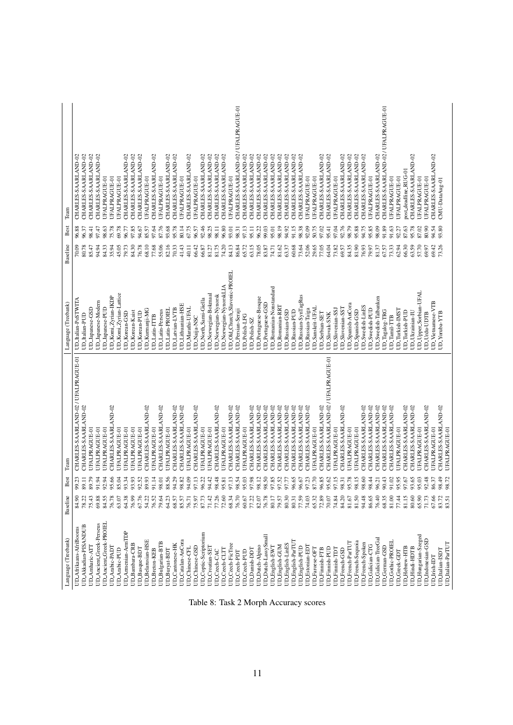| Language (Treebank)              | Baseline           | Best           | Team                                 | Language (Treebank)               | Baseline       | Best           | Team                                 |
|----------------------------------|--------------------|----------------|--------------------------------------|-----------------------------------|----------------|----------------|--------------------------------------|
| UD_Afrikaans-AfriBooms           | 84.90              | 99.23          | CHARLES-SAARLAND-02 / UFALPRAGUE-01  | UD_Italian-PoSTWITA               | 70.09          | 96.88          | CHARLES-SAARLAND-02                  |
| UD_Akkadian-PISANDUB             | 78.22              | 11.68          | CHARLES-SAARLAND-02                  | UD_Italian-PUD                    | 80.78          | 96.37          | CHARLES-SAARLAND-02                  |
| UD_Amharic-ATT                   | 75.43              | 89.79          | UFALPRAGUE-01                        | UD_Japanese-GSD                   | 85.47          | 98.41          | CHARLES-SAARLAND-02                  |
| UD_Ancient Greek-Perseus         | 69.88              | 1.94           | UFALPRAGUE-01                        | UD_Japanese-Modern                | 94.94          | 97.47          | CHARLES-SAARLAND-02                  |
| UD_Ancient_Greek-PROIEL          | 84.55              | <b>12.94</b>   | UFALPRAGUE-01                        | UD_Japanese-PUD                   | 84.33          | 98.63          | UFALPRAGUE-01                        |
| UD_Arabic-PADT                   | 76.78              | 15.66          | CHARLES-SAARLAND-02                  | UD_Komi_Zyrian-IKDP               | 35.94          | 75.78          | UFALPRAGUE-01                        |
| UD_Arabic-PUD                    | 63.07              | <b>85.04</b>   | UFALPRAGUE-01                        | UD_Komi Zyrian-Lattice            | 45.05          | 69.78          | UFALPRAGUE-01                        |
| UD_Armenian-ArmTDP               | 64.38              | 13.34          | UFALPRAGUE-01                        | UD_Korean-GSD                     | 79.73          | 96.77          | CHARLES-SAARLAND-02                  |
| UD_Bambara-CRB                   | 76.99              | 13.93          | UFALPRAGUE-01                        | UD_Korean-Kaist                   | 84.30          | 97.85          | CHARLES-SAARLAND-02                  |
| UD_Basque-BDT                    | 67.76              | 0.52           | UFALPRAGUE-01                        | UD_Korean-PUD                     | 76.78          | 94.67          | CHARLES-SAARLAND-02                  |
| UD_Belarusian-HSE                | 54.22              | 89.93          | CHARLES-SAARLAND-02                  | UD_Kurmanji-MG                    | 68.10          | 85.57          | UFALPRAGUE-01                        |
| UD_Breton-KEB                    | 76.52              | 1.14           | UFALPRAGUE-01                        | UD_Latin-ITTB                     | 77.68          | 97.64          | CHARLES-SAARLAND-02                  |
| UD_Bulgarian-BTB                 | 79.64              | 10.8           | CHARLES-SAARLAND-02                  | <b>UD</b> Latin-Perseus           | 55.06          | 87.76          | UFALPRAGUE-01                        |
| UD_Buryat-BDT                    | 64.23              | 88.56          | UFALPRAGUE-01                        | UD_Latin-PROIEL                   | 82.16          | 93.68          | CHARLES-SAARLAND-02                  |
| UD_Cantonese-HK                  | 68.57              | <b>14.29</b>   | CHARLES-SAARLAND-02                  | UD_Latvian-LVTB                   | 70.33          | 95.78          | CHARLES-SAARLAND-02                  |
| UD_Catalan-AnCora                | 85.57              | 18.82          | CHARLES-SAARLAND-02                  | UD_Lithuanian-HSE                 | 41.43          | 80.14          | UFALPRAGUE-01                        |
| UD_Chinese-CFL                   | 76.71              | P4.09          | UFALPRAGUE-01                        | UD_Marathi-UFAL                   | 40.11          | 67.75          | CHARLES-SAARLAND-02                  |
| UD_Chinese-GSD                   | 75.97              | 7.13           | CHARLES-SAARLAND-02                  | UD Naija-NSC                      | 66.42          | 96.57          | UFALPRAGUE-01                        |
| UD_Coptic-Scriptorium            | 87.73              | 06.22          | UFALPRAGUE-01                        | UD_North_Sami-Giella              | 66.87          | 92.46          | CHARLES-SAARLAND-02                  |
| UD_Croatian-SET                  | 71.42              | 14.42          | UFALPRAGUE-01                        | UD_Norwegian-Bokmaal              | 81.27          | 98.25          | CHARLES-SAARLAND-02                  |
| UD_Czech-CAC                     | 77.26              | 8.48           | CHARLES-SAARLAND-02                  | UD_Norwegian-Nynorsk              | 81.75          | 98.11          | CHARLES-SAARLAND-02                  |
| UD_Czech-CLT                     | 72.60              | 18.81          | UFALPRAGUE-01                        | UD_Norwegian-NynorskLIA           | 74.20          | 96.80          | CHARLES-SAARLAND-02                  |
| UD_Czech-FicTree                 | 68.34              | 7.13           | CHARLES-SAARLAND-02                  | UD_Old_Church_Slavonic-PROIEL     | 84.13          | 93.01          | UFALPRAGUE-01                        |
| UD_Czech-PDT                     | 76.70              | 98.54          | CHARLES-SAARLAND-02                  | UD_Persian-Seraji                 | 86.84          | 98.31          | CHARLES-SAARLAND-02 / UFALPRAGUE-01  |
| UD_Czech-PUD                     | 60.67              | 5.03           | UFALPRAGUE-01                        | UD_Polish-LFG                     | 65.72          | 97.13          | CHARLES-SAARLAND-02                  |
| UD_Danish-DDT                    | 77.22              | P7.98          | CHARLES-SAARLAND-02                  | UD_Polish-SZ                      | 63.15          | 95.11          | CHARLES-SAARLAND-02                  |
| UD_Dutch-Alpino                  | 82.07              | 98.12          | CHARLES-SAARLAND-02                  | UD_Portuguese-Bosque              | 78.05          | 96.22          | CHARLES-SAARLAND-02                  |
| UD_Dutch-LassySmall              | 76.78              | 98.50          | CHARLES-SAARLAND-02                  | UD_Portuguese-GSD                 | 83.87          | 99.03          | CHARLES-SAARLAND-02                  |
| UD_English-EWT                   | 80.17              | 17.85          | CHARLES-SAARLAND-02                  | UD_Romanian-Nonstandard           | 74.71          | 95.01          | CHARLES-SAARLAND-02                  |
| UD_English-GUM                   | 79.57              | 7.52           | CHARLES-SAARLAND-02                  | UD_Romanian-RRT                   | 81.62          | 98.19          | CHARLES-SAARLAND-02                  |
| UD_English-LinES                 | 80.30              | 17.77          | CHARLES-SAARLAND-02                  | UD_Russian-GSD                    | 63.37          | 94.92          | CHARLES-SAARLAND-02                  |
| UD_English-ParTUT                | 80.31              | 16.65          | CHARLES-SAARLAND-02                  | UD_Russian-PUD                    | 60.68          | 91.15          | CHARLES-SAARLAND-02                  |
| UD_English-PUD                   | 77.59              | 19'90          | CHARLES-SAARLAND-02                  | UD_Russian-SynTagRus              | 73.64          | 98.38          | CHARLES-SAARLAND-02                  |
| UD_Estonian-EDT                  | 74.03              | 7.23           | CHARLES-SAARLAND-02                  | UD_Russian-Taiga                  | 52.06          | 92.09          | UFALPRAGUE-01                        |
| UD_Faroese-OFT                   | 65.32              | \$7.70         | <b>UFALPRAGUE-01</b>                 | UD_Sanskrit-UFAL                  | 29.65          | 50.75          | UFALPRAGUE-01                        |
| <b>UD_Finnish-FTB</b>            | 72.89              | 16.85          | CHARLES-SAARLAND-02                  | UD_Serbian-SET                    | 77.05          | 97.02          | CHARLES-SAARLAND-02                  |
| UD_Finnish-PUD                   | 70.07              | 5.62           | CHARLES-SAARLAND-02 / UFALPRAGUE-01  | UD_Slovak-SNK                     | 64.04          | 95.41          | CHARLES-SAARLAND-02                  |
| UD_Finnish-TDT                   | 74.84              | 7.15           | UFALPRAGUE-01                        | UD_Slovenian-SSJ                  | 73.82          | 97.04          | UFALPRAGUE-01                        |
| UD_French-GSD                    | 84.20              | 18.31          | CHARLES-SAARLAND-02                  | UD_Slovenian-SST                  | 69.57          | 92.76          | CHARLES-SAARLAND-02                  |
| UD_French-ParTUT                 | 81.67              | 5.78           | UFALPRAGUE-01                        | UD_Spanish-AnCora                 | 84.35          | 98.79          | CHARLES-SAARLAND-02                  |
| UD_French-Sequoia                | 81.50              | 18.15          | UFALPRAGUE-01                        | UD_Spanish-GSD                    | 81.90          | 95.88          | CHARLES-SAARLAND-02                  |
| UD_French-Spoken                 | 94.48              | 18.60          | CHARLES-SAARLAND-02                  | UD_Swedish-LinES                  | 76.93          | 94.75          | CHARLES-SAARLAND-02                  |
| UD_Galician-CTG                  | 86.65              | 18.44          | CHARLES-SAARLAND-02                  | UD_Swedish-PUD                    | 79.97          | 95.85          | UFALPRAGUE-01                        |
| UD_Galician-TreeGal              | 76.40              | 0.21           | CHARLES-SAARLAND-02                  | UD_Swedish-Talbanken              | 81.37          | 98.09          | CHARLES-SAARLAND-02                  |
| UD_German-GSD                    | 68.35              | 0.43           | CHARLES-SAARLAND-02                  | UD_Tagalog-TRG                    | 67.57          | 91.89          | CHARLES-SAARLAND-02 / UFALPRAGUE-01  |
| UD_Gothic-PROIEI                 | 81.00              | 1.02           | CHARLES-SAARLAND-02                  | UD_Tamil-TTB                      | 73.33          | 91.63          | UFALPRAGUE-01                        |
| UD_Greek-GDT                     | 77.44              | 5.95           | UFALPRAGUE-01                        | UD_Turkish-IMST                   | 62.94          | 92.27          | UFALPRAGUE-01                        |
| UD_Hebrew-HTB                    | 81.15              | P7.67          | CHARLES-SAARLAND-02                  | UD_Turkish-PUD                    | 66.30          | 87.63          | post_deadline_RUG-01                 |
| UD_Hindi-HDTB                    | 80.60              | 9.65           | CHARLES-SAARLAND-02                  | UD_Ukrainian-IU                   | 63.59          | 95.78          | CHARLES-SAARLAND-02                  |
| UD_Hungarian-Szeged              | 65.90              | 5.03           | UFALPRAGUE-01                        | UD_Upper_Sorbian-UFAL             | 57.70          | 87.02          | UFALPRAGUE-01                        |
| UD_Indonesian-GSD<br>UD_Insh-IDT | 67.66<br>71.73     | 02.48<br>86.37 | CHARLES-SAARLAND-02<br>UFALPRAGUE-01 | UD_Vietnamese-VTB<br>UD_Urdu-UDTB | 69.42<br>69.97 | 80.90<br>94.54 | CHARLES-SAARLAND-02<br>UFALPRAGUE-01 |
| UD_Italian-ISDT                  |                    | 98.49          | CHARLES-SAARLAND-02                  | UD_Yoruba-YTB                     | 73.26          | 93.80          | CMU-DataAug-01                       |
| UD_Italian-ParTUI                | $83.72$<br>$83.51$ | 18.72          | UFALPRAGUE-01                        |                                   |                |                |                                      |
|                                  |                    |                |                                      |                                   |                |                |                                      |

Table 8: Task 2 Morph Accuracy scores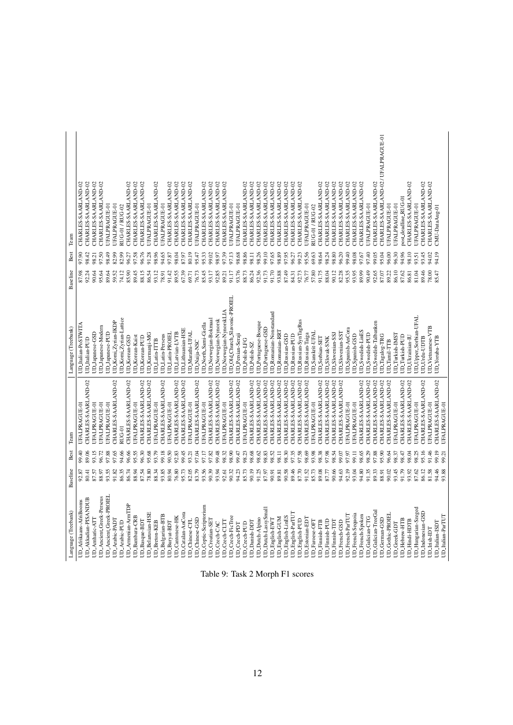| Language (Treebank)                      | Baseline       | Best           | Team                                        | Language (Treebank)                   | Baseline       | Best           | Team                                       |
|------------------------------------------|----------------|----------------|---------------------------------------------|---------------------------------------|----------------|----------------|--------------------------------------------|
| UD_Afrikaans-AfriBooms                   | 92.87          | 99.40          | <b>UFALPRAGUE-01</b>                        | UD_Italian-PoSTWITA                   | 87.98          | 97.90          | CHARLES-SAARLAND-02                        |
| UD_Akkadian-PISANDUB                     | 80.41          | 89.06          | CHARLES-SAARLAND-02                         | UD_Italian-PUD                        | 92.24          | 98.42          | CHARLES-SAARLAND-02                        |
| UD_Amharic-ATT                           | 87.57          | 93.15          | UFALPRAGUE-01                               | UDJapanese-GSD                        | 90.64          | 98.21          | CHARLES-SAARLAND-02                        |
| UD_Ancient_Greek-Perseus                 | 88.97          | 96.72          | UFALPRAGUE-01                               | UDJapanese-Modern                     | 95.64          | 97.50          | CHARLES-SAARLAND-02                        |
| UD_Ancient_Greek-PROIEI                  | 93.55          | 97.88          | JFALPRAGUE-01                               | UD_Japanese-PUD                       | 89.64          | 98.49          | UFALPRAGUE-01                              |
| UD_Arabic-PADT                           | 91.82          | 97.65          | CHARLES-SAARLAND-02                         | UD_Komi_Zyrian-IKDP                   | 59.52          | 82.99          | UFALPRAGUE-01                              |
| <b>UD_Arabic-PUD</b>                     | 86.35          | 94.66          | RUG-01                                      | JD_Komi_Zyrian-Lattice                | 74.12          | 82.99          | RUG-01 / RUG-02                            |
| UD_Amenian-AmTDP                         | 86.74          | 96.66          | CHARLES-SAARLAND-02                         | UD_Korean-GSD                         | 85.90          | 96.27          | CHARLES-SAARLAND-02                        |
| <b>JD_Bambara-CRB</b>                    | 88.94          | 95.55          | UFALPRAGUE-01                               | UD_Korean-Kaist                       | 89.45          | 97.58          | CHARLES-SAARLAND-02                        |
| UD_Basque-BDT                            | 87.54          | 96.30          | CHARLES-SAARLAND-02                         | <b>UD_Korean-PUD</b>                  | 88.15          | 96.76          | CHARLES-SAARLAND-02                        |
| <b>UD_Belarusian-HSE</b>                 | 78.80          | 95.68          | CHARLES-SAARLAND-02                         | UD_Kurmanji-MG                        | 86.54          | 91.28          | UFALPRAGUE-01                              |
| <b>UD</b> Breton-KEB                     | 88.34          | 93.79          | UFALPRAGUE-01                               | <b>UD</b> Latin-ITTB                  | 93.12          | 98.96          | CHARLES-SAARLAND-02                        |
| UD_Bulgarian-BTB                         | 93.85          | 99.18          | CHARLES-SAARLAND-02                         | UD <sub>Latin-Perseus</sub>           | 78.91          | 94.65          | <b>UFALPRAGUE-01</b>                       |
| UD_Buryat-BDT                            | 80.94          | 90.50          | UFALPRAGUE-01                               | UD_Latin-PROIEL                       | 91.42          | 97.87          | CHARLES-SAARLAND-02                        |
| UD_Cantonese-HK                          | 76.80          | 92.83          | CHARLES-SAARLAND-02                         | UD_Latvian-LVTB                       | 89.55          | 98.04          | CHARLES-SAARLAND-02                        |
| UD_Catalan-AnCora                        | 95.73          | 99.45          | CHARLES-SAARLAND-02                         | UD_Lithuanian-HSE                     | 67.39          | 87.97          | CHARLES-SAARLAND-02                        |
| UD_Chinese-CFL                           | 82.05          | 93.21          | <b>UFALPRAGUE-01</b>                        | UD_Marathi-UFAL                       | 69.71          | 80.19          | CHARLES-SAARLAND-02                        |
| UD_Chinese-GSD                           | 83.79          | 97.04          | CHARLES-SAARLAND-02                         | <b>UD_Naija-NSC</b>                   | 76.73          | 95.47          | UFALPRAGUE-01                              |
| UD_Coptic-Scriptorium                    | 93.56          | 97.17          | UFALPRAGUE-01                               | UD_North_Sami-Giella                  | 85.45          | 95.33          | CHARLES-SAARLAND-02                        |
| UD_Croatian-SET                          | 90.39          | 97.82          | CHARLES-SAARLAND-02                         | UD_Norwegian-Bokmaal                  | 93.17          | 99.02          | CHARLES-SAARLAND-02                        |
| UD_Czech-CAC                             | 93.94          | 99.48          | CHARLES-SAARLAND-02                         | UD_Norwegian-Nynorsk                  | 92.85          | 98.97          | CHARLES-SAARLAND-02                        |
| UD_Czech-CLTT                            | 92.61          | 98.32          | <b>UFALPRAGUE-01</b>                        | UD_Norwegian-NynorskLIA               | 89.21          | 97.39          | CHARLES-SAARLAND-02                        |
| UD_Czech-FicTree                         | 90.32          | 98.90          | CHARLES-SAARLAND-02                         | UD_Old_Church_Slavonic-PROIEL         | 91.17          | 97.13          | UFALPRAGUE-01                              |
| UD Czech-PDT                             | 94.23          | 99.47          | CHARLES-SAARLAND-02                         | UD_Persian-Seraji                     | 93.76          | 98.68          | <b>UFALPRAGUE-01</b>                       |
| UD_Czech-PUD                             | 85.73          | 98.23          | UFALPRAGUE-01                               | UD_Polish-LFG                         | 88.73          | 98.86          | CHARLES-SAARLAND-02                        |
| UD_Danish-DDT                            | 90.19          | 98.68          | CHARLES-SAARLAND-02                         | JD_Polish-SZ                          | 86.24          | 98.11          | CHARLES-SAARLAND-02                        |
| UD_Dutch-Alpino                          | 91.25          | 98.62          | CHARLES-SAARLAND-02                         | UD_Portuguese-Bosque                  | 92.36          | 98.26          | CHARLES-SAARLAND-02                        |
| UD_Dutch-LassySmall                      | 87.97          | 98.83          | CHARLES-SAARLAND-02                         | UD_Portuguese-GSD                     | 91.73          | 99.10          | CHARLES-SAARLAND-02                        |
| <b>UD</b> English-EWT                    | 90.91          | 98.52          | CHARLES-SAARLAND-02                         | JD_Romanian-Nonstandard               | 91.70          | 97.65          | CHARLES-SAARLAND-02                        |
| UD_English-GUM                           | 89.81          | 98.11          | CHARLES-SAARLAND-02                         | <b>JD_Romanian-RRT</b>                | 93.88          | 98.89          | CHARLES-SAARLAND-02                        |
| UD English-LinES                         | 90.58          | 98.30          | CHARLES-SAARLAND-02                         | <b>UD_Russian-GSD</b>                 | 87.49          | 97.95          | CHARLES-SAARLAND-02                        |
| UD English-ParTUT                        | 89.46          | 97.35          | CHARLES-SAARLAND-02                         | JD_Russian-PUD                        | 84.31          | 96.27          | CHARLES-SAARLAND-02                        |
| UD_English-PUD                           | 87.70          | 97.58          | CHARLES-SAARLAND-02                         | <b>JD_Russian-SynTagRus</b>           | 92.73          | 99.23          | CHARLES-SAARLAND-02                        |
| <b>UD_Estonian-EDT</b>                   | 91.52          | 98.69          | CHARLES-SAARLAND-02                         | <b>JD_Russian-Taiga</b>               | 76.77          | 95.56          | UFALPRAGUE-01                              |
| UD_Faroese-OFT                           | 85.73          | 93.98          | UFALPRAGUE-01                               | <b>UD_Sanskrit-UFAI</b>               | 57.80          | 69.63          | RUG-01 / RUG-02                            |
| <b>UD</b> Finnish-FTB                    | 89.08          | 98.38          | CHARLES-SAARLAND-02                         | UD_Serbian-SET                        | 91.75          | 98.64          | CHARLES-SAARLAND-02                        |
| UD_Finnish-PUD                           | 87.77          | 97.98          | CHARLES-SAARLAND-02                         | JD_Slovak-SNK                         | 88.04          | 98.24          | CHARLES-SAARLAND-02                        |
| UD_Finnish-TDT                           | 90.66          | 98.54          | CHARLES-SAARLAND-02                         | UD_Slovenian-SSJ                      | 90.12          | 98.80          | CHARLES-SAARLAND-02                        |
| UD_French-ParTUT<br><b>UD</b> French-GSD | 94.63<br>92.19 | 97.97<br>99.07 | CHARLES-SAARLAND-02<br><b>UFALPRAGUE-01</b> | UD_Spanish-AnCora<br>UD_Slovenian-SST | 82.28<br>95.35 | 96.20<br>99.40 | CHARLES-SAARLAND-02<br>CHARLES-SAARLAND-02 |
| UD French-Sequoia                        | 93.04          | 99.11          | <b>UFALPRAGUE-01</b>                        | UD_Spanish-GSD                        | 93.95          | 98.08          | CHARLES-SAARLAND-02                        |
| <b>UD</b> French-Spoken                  | 94.80          | 98.65          | CHARLES-SAARLAND-02                         | <b>UD_Swedish-LinES</b>               | 89.99          | 97.67          | CHARLES-SAARLAND-02                        |
| UD_Galician-CTG                          | 91.35          | 98.29          | CHARLES-SAARLAND-02                         | UD_Swedish-PUD                        | 90.49          | 97.40          | <b>UFALPRAGUE-01</b>                       |
| UD_Galician-TreeGal                      | 89.33          | 97.88          | CHARLES-SAARLAND-02                         | UD_Swedish-Talbanken                  | 92.65          | 99.05          | CHARLES-SAARLAND-02                        |
| UD_German-GSD                            | 88.91          | 95.90          | CHARLES-SAARLAND-02                         | JD_Tagalog-TRG                        | 87.07          | 95.04          | CHARLES-SAARLAND-02 / UFALPRAGUE-01        |
| UD_Gothic-PROIEI                         | 90.02          | 96.64          | CHARLES-SAARLAND-02                         | <b>UD_Tamil-TTB</b>                   | 89.22          | 96.00          | UFALPRAGUE-01                              |
| <b>UD_Greek-GDT</b>                      | 93.45          | 98.37          | <b>UFALPRAGUE-01</b>                        | UD_Turkish-IMST                       | 86.10          | 96.30          | UFALPRAGUE-01                              |
| <b>UD_Hebrew-HTB</b>                     | 91.79          | 98.47          | CHARLES-SAARLAND-02                         | UD_Turkish-PUD                        | 87.62          | 94.96          | post_deadline_RUG-01                       |
| <b>UD_Hindi-HDTB</b>                     | 93.92          | 98.04          | CHARLES-SAARLAND-02                         | UD_Ukrainian-IU                       | 86.81          | 98.10          | CHARLES-SAARLAND-02                        |
| UD_Hungarian-Szeged                      | 87.62          | 98.25          | UFALPRAGUE-01                               | UD <sub>-Upper-Sorbian-UFAL</sub>     | 81.04          | 93.51          | UFALPRAGUE-01                              |
| UD_Indonesian-GSD                        | 86.12          | 95.16          | CHARLES-SAARLAND-02                         | UD_Urdu-UDTB                          | 89.46          | 93.45          | CHARLES-SAARLAND-02                        |
| UD_Irish-IDT                             | 81.58          | 91.46          | UFALPRAGUE-01                               | UD Vietnamese-VTB                     | 78.00          | 94.02          | CHARLES-SAARLAND-02                        |
| UD_Italian-ISDT                          | 94.46          | 99.19          | CHARLES-SAARLAND-02                         | UD_Yoruba-YTB                         | 85.47          | 94.19          | CMU-DataAug-01                             |
| UD_Italian-ParTUT                        | 93.88          | 99.21          | UFALPRAGUE-01                               |                                       |                |                |                                            |

Table 9: Task 2 Morph F1 scores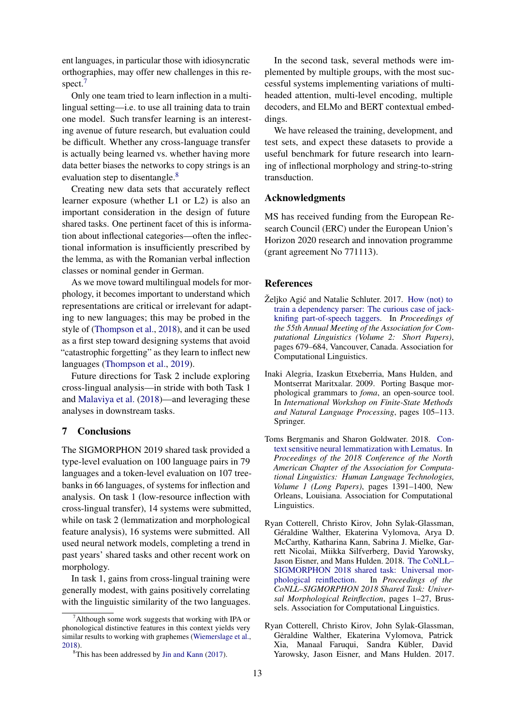ent languages, in particular those with idiosyncratic orthographies, may offer new challenges in this re-spect.<sup>[7](#page-12-5)</sup>

Only one team tried to learn inflection in a multilingual setting—i.e. to use all training data to train one model. Such transfer learning is an interesting avenue of future research, but evaluation could be difficult. Whether any cross-language transfer is actually being learned vs. whether having more data better biases the networks to copy strings is an evaluation step to disentangle.<sup>[8](#page-12-6)</sup>

Creating new data sets that accurately reflect learner exposure (whether L1 or L2) is also an important consideration in the design of future shared tasks. One pertinent facet of this is information about inflectional categories—often the inflectional information is insufficiently prescribed by the lemma, as with the Romanian verbal inflection classes or nominal gender in German.

As we move toward multilingual models for morphology, it becomes important to understand which representations are critical or irrelevant for adapting to new languages; this may be probed in the style of [\(Thompson et al.,](#page-14-4) [2018\)](#page-14-4), and it can be used as a first step toward designing systems that avoid "catastrophic forgetting" as they learn to inflect new languages [\(Thompson et al.,](#page-14-5) [2019\)](#page-14-5).

Future directions for Task 2 include exploring cross-lingual analysis—in stride with both Task 1 and [Malaviya et al.](#page-13-12) [\(2018\)](#page-13-12)—and leveraging these analyses in downstream tasks.

# 7 Conclusions

The SIGMORPHON 2019 shared task provided a type-level evaluation on 100 language pairs in 79 languages and a token-level evaluation on 107 treebanks in 66 languages, of systems for inflection and analysis. On task 1 (low-resource inflection with cross-lingual transfer), 14 systems were submitted, while on task 2 (lemmatization and morphological feature analysis), 16 systems were submitted. All used neural network models, completing a trend in past years' shared tasks and other recent work on morphology.

In task 1, gains from cross-lingual training were generally modest, with gains positively correlating with the linguistic similarity of the two languages.

In the second task, several methods were implemented by multiple groups, with the most successful systems implementing variations of multiheaded attention, multi-level encoding, multiple decoders, and ELMo and BERT contextual embeddings.

We have released the training, development, and test sets, and expect these datasets to provide a useful benchmark for future research into learning of inflectional morphology and string-to-string transduction.

## Acknowledgments

MS has received funding from the European Research Council (ERC) under the European Union's Horizon 2020 research and innovation programme (grant agreement No 771113).

## **References**

- <span id="page-12-3"></span>Željko Agić and Natalie Schluter. 2017. [How \(not\) to](https://doi.org/10.18653/v1/P17-2107) [train a dependency parser: The curious case of jack](https://doi.org/10.18653/v1/P17-2107)[knifing part-of-speech taggers.](https://doi.org/10.18653/v1/P17-2107) In *Proceedings of the 55th Annual Meeting of the Association for Computational Linguistics (Volume 2: Short Papers)*, pages 679–684, Vancouver, Canada. Association for Computational Linguistics.
- <span id="page-12-1"></span>Inaki Alegria, Izaskun Etxeberria, Mans Hulden, and Montserrat Maritxalar. 2009. Porting Basque morphological grammars to *foma*, an open-source tool. In *International Workshop on Finite-State Methods and Natural Language Processing*, pages 105–113. Springer.
- <span id="page-12-4"></span>Toms Bergmanis and Sharon Goldwater. 2018. [Con](https://doi.org/10.18653/v1/N18-1126)[text sensitive neural lemmatization with Lematus.](https://doi.org/10.18653/v1/N18-1126) In *Proceedings of the 2018 Conference of the North American Chapter of the Association for Computational Linguistics: Human Language Technologies, Volume 1 (Long Papers)*, pages 1391–1400, New Orleans, Louisiana. Association for Computational Linguistics.
- <span id="page-12-0"></span>Ryan Cotterell, Christo Kirov, John Sylak-Glassman, Géraldine Walther, Ekaterina Vylomova, Arya D. McCarthy, Katharina Kann, Sabrina J. Mielke, Garrett Nicolai, Miikka Silfverberg, David Yarowsky, Jason Eisner, and Mans Hulden. 2018. [The CoNLL–](https://www.aclweb.org/anthology/K18-3001) [SIGMORPHON 2018 shared task: Universal mor](https://www.aclweb.org/anthology/K18-3001)[phological reinflection.](https://www.aclweb.org/anthology/K18-3001) In *Proceedings of the CoNLL–SIGMORPHON 2018 Shared Task: Universal Morphological Reinflection*, pages 1–27, Brussels. Association for Computational Linguistics.
- <span id="page-12-2"></span>Ryan Cotterell, Christo Kirov, John Sylak-Glassman, Geraldine Walther, Ekaterina Vylomova, Patrick Xia, Manaal Faruqui, Sandra Kübler, David Yarowsky, Jason Eisner, and Mans Hulden. 2017.

<span id="page-12-5"></span> $7$ Although some work suggests that working with IPA or phonological distinctive features in this context yields very similar results to working with graphemes [\(Wiemerslage et al.,](#page-15-5) [2018\)](#page-15-5).

<span id="page-12-6"></span> ${}^{8}$ This has been addressed by [Jin and Kann](#page-13-13) [\(2017\)](#page-13-13).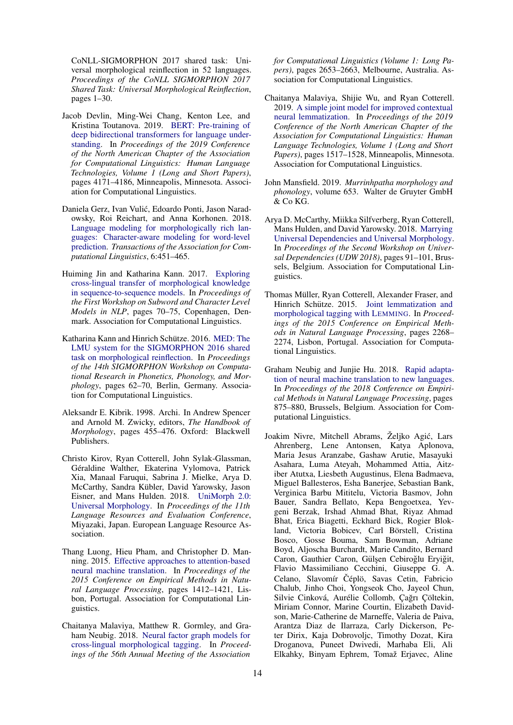CoNLL-SIGMORPHON 2017 shared task: Universal morphological reinflection in 52 languages. *Proceedings of the CoNLL SIGMORPHON 2017 Shared Task: Universal Morphological Reinflection*, pages 1–30.

- <span id="page-13-9"></span>Jacob Devlin, Ming-Wei Chang, Kenton Lee, and Kristina Toutanova. 2019. [BERT: Pre-training of](https://www.aclweb.org/anthology/N19-1423) [deep bidirectional transformers for language under](https://www.aclweb.org/anthology/N19-1423)[standing.](https://www.aclweb.org/anthology/N19-1423) In *Proceedings of the 2019 Conference of the North American Chapter of the Association for Computational Linguistics: Human Language Technologies, Volume 1 (Long and Short Papers)*, pages 4171–4186, Minneapolis, Minnesota. Association for Computational Linguistics.
- <span id="page-13-10"></span>Daniela Gerz, Ivan Vulic, Edoardo Ponti, Jason Narad- ´ owsky, Roi Reichart, and Anna Korhonen. 2018. [Language modeling for morphologically rich lan](https://doi.org/10.1162/tacl_a_00032)[guages: Character-aware modeling for word-level](https://doi.org/10.1162/tacl_a_00032) [prediction.](https://doi.org/10.1162/tacl_a_00032) *Transactions of the Association for Computational Linguistics*, 6:451–465.
- <span id="page-13-13"></span>Huiming Jin and Katharina Kann. 2017. [Exploring](https://doi.org/10.18653/v1/W17-4110) [cross-lingual transfer of morphological knowledge](https://doi.org/10.18653/v1/W17-4110) [in sequence-to-sequence models.](https://doi.org/10.18653/v1/W17-4110) In *Proceedings of the First Workshop on Subword and Character Level Models in NLP*, pages 70–75, Copenhagen, Denmark. Association for Computational Linguistics.
- <span id="page-13-8"></span>Katharina Kann and Hinrich Schütze. 2016. [MED: The](https://doi.org/10.18653/v1/W16-2010) [LMU system for the SIGMORPHON 2016 shared](https://doi.org/10.18653/v1/W16-2010) [task on morphological reinflection.](https://doi.org/10.18653/v1/W16-2010) In *Proceedings of the 14th SIGMORPHON Workshop on Computational Research in Phonetics, Phonology, and Morphology*, pages 62–70, Berlin, Germany. Association for Computational Linguistics.
- <span id="page-13-0"></span>Aleksandr E. Kibrik. 1998. Archi. In Andrew Spencer and Arnold M. Zwicky, editors, *The Handbook of Morphology*, pages 455–476. Oxford: Blackwell Publishers.
- <span id="page-13-1"></span>Christo Kirov, Ryan Cotterell, John Sylak-Glassman, Géraldine Walther, Ekaterina Vylomova, Patrick Xia, Manaal Faruqui, Sabrina J. Mielke, Arya D. McCarthy, Sandra Kübler, David Yarowsky, Jason Eisner, and Mans Hulden. 2018. [UniMorph 2.0:](https://www.aclweb.org/anthology/L18-1293) [Universal Morphology.](https://www.aclweb.org/anthology/L18-1293) In *Proceedings of the 11th Language Resources and Evaluation Conference*, Miyazaki, Japan. European Language Resource Association.
- <span id="page-13-5"></span>Thang Luong, Hieu Pham, and Christopher D. Manning. 2015. [Effective approaches to attention-based](https://doi.org/10.18653/v1/D15-1166) [neural machine translation.](https://doi.org/10.18653/v1/D15-1166) In *Proceedings of the 2015 Conference on Empirical Methods in Natural Language Processing*, pages 1412–1421, Lisbon, Portugal. Association for Computational Linguistics.
- <span id="page-13-12"></span>Chaitanya Malaviya, Matthew R. Gormley, and Graham Neubig. 2018. [Neural factor graph models for](https://www.aclweb.org/anthology/P18-1247) [cross-lingual morphological tagging.](https://www.aclweb.org/anthology/P18-1247) In *Proceedings of the 56th Annual Meeting of the Association*

*for Computational Linguistics (Volume 1: Long Papers)*, pages 2653–2663, Melbourne, Australia. Association for Computational Linguistics.

- <span id="page-13-7"></span>Chaitanya Malaviya, Shijie Wu, and Ryan Cotterell. 2019. [A simple joint model for improved contextual](https://www.aclweb.org/anthology/N19-1155) [neural lemmatization.](https://www.aclweb.org/anthology/N19-1155) In *Proceedings of the 2019 Conference of the North American Chapter of the Association for Computational Linguistics: Human Language Technologies, Volume 1 (Long and Short Papers)*, pages 1517–1528, Minneapolis, Minnesota. Association for Computational Linguistics.
- <span id="page-13-2"></span>John Mansfield. 2019. *Murrinhpatha morphology and phonology*, volume 653. Walter de Gruyter GmbH & Co KG.
- <span id="page-13-4"></span>Arya D. McCarthy, Miikka Silfverberg, Ryan Cotterell, Mans Hulden, and David Yarowsky. 2018. [Marrying](https://www.aclweb.org/anthology/W18-6011) [Universal Dependencies and Universal Morphology.](https://www.aclweb.org/anthology/W18-6011) In *Proceedings of the Second Workshop on Universal Dependencies (UDW 2018)*, pages 91–101, Brussels, Belgium. Association for Computational Linguistics.
- <span id="page-13-6"></span>Thomas Müller, Ryan Cotterell, Alexander Fraser, and Hinrich Schütze. 2015. [Joint lemmatization and](https://doi.org/10.18653/v1/D15-1272) [morphological tagging with L](https://doi.org/10.18653/v1/D15-1272)EMMING. In *Proceedings of the 2015 Conference on Empirical Methods in Natural Language Processing*, pages 2268– 2274, Lisbon, Portugal. Association for Computational Linguistics.
- <span id="page-13-11"></span>Graham Neubig and Junjie Hu. 2018. [Rapid adapta](https://www.aclweb.org/anthology/D18-1103)[tion of neural machine translation to new languages.](https://www.aclweb.org/anthology/D18-1103) In *Proceedings of the 2018 Conference on Empirical Methods in Natural Language Processing*, pages 875–880, Brussels, Belgium. Association for Computational Linguistics.
- <span id="page-13-3"></span>Joakim Nivre, Mitchell Abrams, Željko Agić, Lars Ahrenberg, Lene Antonsen, Katya Aplonova, Maria Jesus Aranzabe, Gashaw Arutie, Masayuki Asahara, Luma Ateyah, Mohammed Attia, Aitziber Atutxa, Liesbeth Augustinus, Elena Badmaeva, Miguel Ballesteros, Esha Banerjee, Sebastian Bank, Verginica Barbu Mititelu, Victoria Basmov, John Bauer, Sandra Bellato, Kepa Bengoetxea, Yevgeni Berzak, Irshad Ahmad Bhat, Riyaz Ahmad Bhat, Erica Biagetti, Eckhard Bick, Rogier Blokland, Victoria Bobicev, Carl Börstell, Cristina Bosco, Gosse Bouma, Sam Bowman, Adriane Boyd, Aljoscha Burchardt, Marie Candito, Bernard Caron, Gauthier Caron, Gülşen Cebiroğlu Eryiğit, Flavio Massimiliano Cecchini, Giuseppe G. A. Celano, Slavomír Čéplö, Savas Cetin, Fabricio Chalub, Jinho Choi, Yongseok Cho, Jayeol Chun, Silvie Cinková, Aurélie Collomb, Çağrı Çöltekin, Miriam Connor, Marine Courtin, Elizabeth Davidson, Marie-Catherine de Marneffe, Valeria de Paiva, Arantza Diaz de Ilarraza, Carly Dickerson, Peter Dirix, Kaja Dobrovoljc, Timothy Dozat, Kira Droganova, Puneet Dwivedi, Marhaba Eli, Ali Elkahky, Binyam Ephrem, Tomaž Erjavec, Aline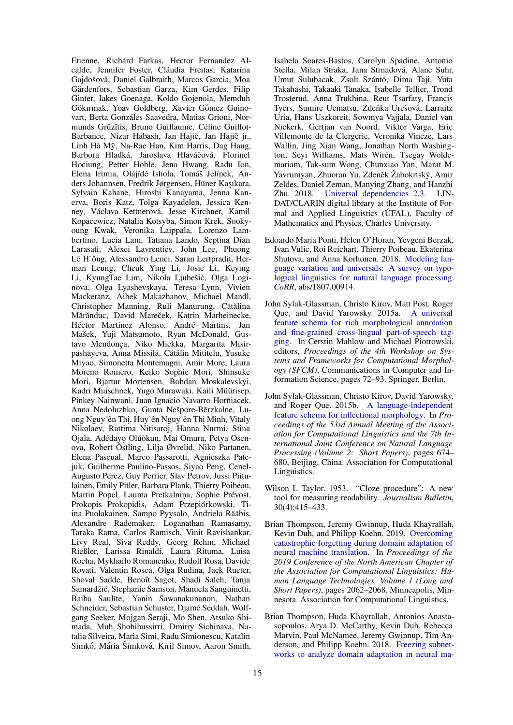Etienne, Richárd Farkas, Hector Fernandez Alcalde, Jennifer Foster, Cláudia Freitas, Katarína Gajdošová, Daniel Galbraith, Marcos Garcia, Moa Gärdenfors, Sebastian Garza, Kim Gerdes, Filip Ginter, Iakes Goenaga, Koldo Gojenola, Memduh Gökırmak, Yoav Goldberg, Xavier Gómez Guinovart, Berta Gonzáles Saavedra, Matias Grioni, Normunds Grūzītis, Bruno Guillaume, Céline Guillot-Barbance, Nizar Habash, Jan Hajič, Jan Hajič jr., Linh Hà Mỹ, Na-Rae Han, Kim Harris, Dag Haug, Barbora Hladká, Jaroslava Hlaváčová, Florinel Hociung, Petter Hohle, Jena Hwang, Radu Ion, Elena Irimia, Olájídé Ishola, Tomáš Jelínek, Anders Johannsen, Fredrik Jørgensen, Hüner Kaşıkara, Sylvain Kahane, Hiroshi Kanayama, Jenna Kanerva, Boris Katz, Tolga Kayadelen, Jessica Kenney, Václava Kettnerová, Jesse Kirchner, Kamil Kopacewicz, Natalia Kotsyba, Simon Krek, Sookyoung Kwak, Veronika Laippala, Lorenzo Lambertino, Lucia Lam, Tatiana Lando, Septina Dian Larasati, Alexei Lavrentiev, John Lee, Phuong Lê H`ông, Alessandro Lenci, Saran Lertpradit, Herman Leung, Cheuk Ying Li, Josie Li, Keying Li, KyungTae Lim, Nikola Ljubešić, Olga Loginova, Olga Lyashevskaya, Teresa Lynn, Vivien Macketanz, Aibek Makazhanov, Michael Mandl, Christopher Manning, Ruli Manurung, Cătălina Mărănduc, David Mareček, Katrin Marheinecke, Héctor Martínez Alonso, André Martins, Jan Mašek, Yuji Matsumoto, Ryan McDonald, Gustavo Mendonça, Niko Miekka, Margarita Misirpashayeva, Anna Missilä, Cătălin Mititelu, Yusuke Miyao, Simonetta Montemagni, Amir More, Laura Moreno Romero, Keiko Sophie Mori, Shinsuke Mori, Bjartur Mortensen, Bohdan Moskalevskyi, Kadri Muischnek, Yugo Murawaki, Kaili Müürisep, Pinkey Nainwani, Juan Ignacio Navarro Horñiacek, Anna Nedoluzhko, Gunta Nešpore-Bērzkalne, Luong Nguy~ên Thị, Huy`ên Nguy~ên Thị Minh, Vitaly Nikolaev, Rattima Nitisaroj, Hanna Nurmi, Stina Ojala, Adédayo Olúòkun, Mai Omura, Petya Osenova, Robert Östling, Lilja Øvrelid, Niko Partanen, Elena Pascual, Marco Passarotti, Agnieszka Patejuk, Guilherme Paulino-Passos, Siyao Peng, Cenel-Augusto Perez, Guy Perrier, Slav Petrov, Jussi Piitulainen, Emily Pitler, Barbara Plank, Thierry Poibeau, Martin Popel, Lauma Pretkalnina, Sophie Prévost, Prokopis Prokopidis, Adam Przepiórkowski, Tiina Puolakainen, Sampo Pyysalo, Andriela Rääbis, Alexandre Rademaker, Loganathan Ramasamy, Taraka Rama, Carlos Ramisch, Vinit Ravishankar, Livy Real, Siva Reddy, Georg Rehm, Michael Rießler, Larissa Rinaldi, Laura Rituma, Luisa Rocha, Mykhailo Romanenko, Rudolf Rosa, Davide Rovati, Valentin Rosca, Olga Rudina, Jack Rueter, Shoval Sadde, Benoît Sagot, Shadi Saleh, Tanja Samardžić, Stephanie Samson, Manuela Sanguinetti, Baiba Saulīte, Yanin Sawanakunanon, Nathan Schneider, Sebastian Schuster, Djame Seddah, Wolf- ´ gang Seeker, Mojgan Seraji, Mo Shen, Atsuko Shimada, Muh Shohibussirri, Dmitry Sichinava, Natalia Silveira, Maria Simi, Radu Simionescu, Katalin Simkó, Mária Šimková, Kiril Simov, Aaron Smith,

Isabela Soares-Bastos, Carolyn Spadine, Antonio Stella, Milan Straka, Jana Strnadová, Alane Suhr, Umut Sulubacak, Zsolt Szántó, Dima Taji, Yuta Takahashi, Takaaki Tanaka, Isabelle Tellier, Trond Trosterud, Anna Trukhina, Reut Tsarfaty, Francis Tyers, Sumire Uematsu, Zdeňka Urešová, Larraitz Uria, Hans Uszkoreit, Sowmya Vajjala, Daniel van Niekerk, Gertjan van Noord, Viktor Varga, Eric Villemonte de la Clergerie, Veronika Vincze, Lars Wallin, Jing Xian Wang, Jonathan North Washington, Seyi Williams, Mats Wirén, Tsegay Woldemariam, Tak-sum Wong, Chunxiao Yan, Marat M. Yavrumyan, Zhuoran Yu, Zdeněk Žabokrtský, Amir Zeldes, Daniel Zeman, Manying Zhang, and Hanzhi Zhu. 2018. [Universal dependencies 2.3.](http://hdl.handle.net/11234/1-2895) LIN-DAT/CLARIN digital library at the Institute of Formal and Applied Linguistics (ÚFAL), Faculty of Mathematics and Physics, Charles University.

- <span id="page-14-3"></span>Edoardo Maria Ponti, Helen O'Horan, Yevgeni Berzak, Ivan Vulic, Roi Reichart, Thierry Poibeau, Ekaterina Shutova, and Anna Korhonen. 2018. [Modeling lan](http://arxiv.org/abs/1807.00914)[guage variation and universals: A survey on typo](http://arxiv.org/abs/1807.00914)[logical linguistics for natural language processing.](http://arxiv.org/abs/1807.00914) *CoRR*, abs/1807.00914.
- <span id="page-14-1"></span>John Sylak-Glassman, Christo Kirov, Matt Post, Roger Que, and David Yarowsky. 2015a. [A universal](https://link.springer.com/chapter/10.1007/978-3-319-23980-4_5) [feature schema for rich morphological annotation](https://link.springer.com/chapter/10.1007/978-3-319-23980-4_5) [and fine-grained cross-lingual part-of-speech tag](https://link.springer.com/chapter/10.1007/978-3-319-23980-4_5)[ging.](https://link.springer.com/chapter/10.1007/978-3-319-23980-4_5) In Cerstin Mahlow and Michael Piotrowski, editors, *Proceedings of the 4th Workshop on Systems and Frameworks for Computational Morphology (SFCM)*, Communications in Computer and Information Science, pages 72–93. Springer, Berlin.
- <span id="page-14-2"></span>John Sylak-Glassman, Christo Kirov, David Yarowsky, and Roger Que. 2015b. [A language-independent](http://www.aclweb.org/anthology/P15-2111) [feature schema for inflectional morphology.](http://www.aclweb.org/anthology/P15-2111) In *Proceedings of the 53rd Annual Meeting of the Association for Computational Linguistics and the 7th International Joint Conference on Natural Language Processing (Volume 2: Short Papers)*, pages 674– 680, Beijing, China. Association for Computational Linguistics.
- <span id="page-14-0"></span>Wilson L Taylor. 1953. "Cloze procedure": A new tool for measuring readability. *Journalism Bulletin*, 30(4):415–433.
- <span id="page-14-5"></span>Brian Thompson, Jeremy Gwinnup, Huda Khayrallah, Kevin Duh, and Philipp Koehn. 2019. [Overcoming](https://www.aclweb.org/anthology/N19-1209) [catastrophic forgetting during domain adaptation of](https://www.aclweb.org/anthology/N19-1209) [neural machine translation.](https://www.aclweb.org/anthology/N19-1209) In *Proceedings of the 2019 Conference of the North American Chapter of the Association for Computational Linguistics: Human Language Technologies, Volume 1 (Long and Short Papers)*, pages 2062–2068, Minneapolis, Minnesota. Association for Computational Linguistics.
- <span id="page-14-4"></span>Brian Thompson, Huda Khayrallah, Antonios Anastasopoulos, Arya D. McCarthy, Kevin Duh, Rebecca Marvin, Paul McNamee, Jeremy Gwinnup, Tim Anderson, and Philipp Koehn. 2018. [Freezing subnet](https://www.aclweb.org/anthology/W18-6313)[works to analyze domain adaptation in neural ma-](https://www.aclweb.org/anthology/W18-6313)